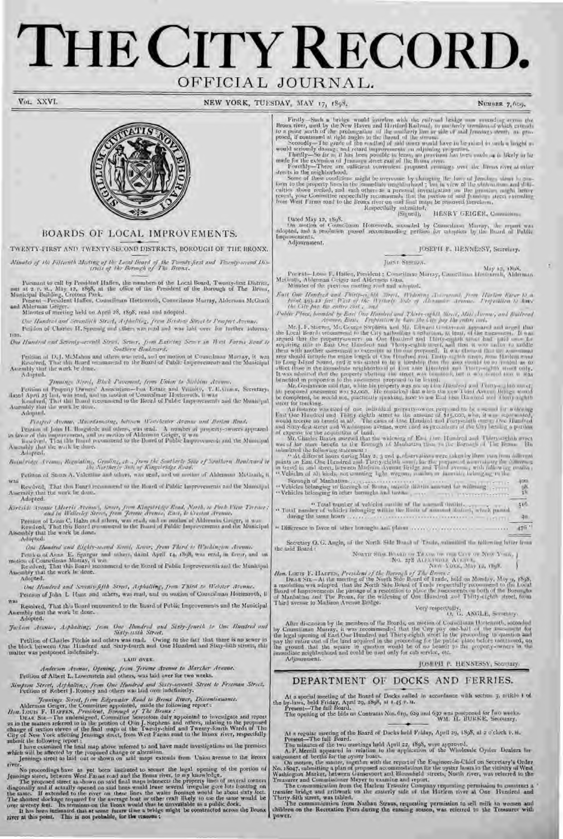# THE CITY RECORD. OFFICIAL JOURNAL.

VOL XXVI.

NEW YORK, TUESDAY, MAY 17, 1898.

NUMBER 7, 600.



## BOARDS OF LOCAL IMPROVEMENTS.

TWENTY-FIRST AND TWENTY-SECOND DISTRICTS, BOROUGH OF THE BRONX.

Minutes of the Fifteenth Mesting of the Local Heard of the Twenty Jest and Twenty second Dis-<br>(rick of the Boroogh of The Brance

Pursuant to call by President Haffen, the reembers of the Local Board, Twenty-first District, net at  $x$  n,  $m_x$ , May 12, 1898, at the office of the President of the Borough of The Bronz, Municipal Bailding, Crotona Patk.

Minutes of meeting held on April 28, 1898; read and adopted.

One Hundred and Seventive Str. A. Arthalities, from Briston Street to Prospect Avenue. Petidon of Chartes II. Spreadg and cliers was read and was labl over for further informa-

Tiun. One Hundred and Severity-second) Stran, Sever, from Existing Sea v in West Forms Read to Southern Boulevera.

Pediion of D.J. McMahon and others was read, and on motion at Councilman Marray, it was Resolved. That the Board recommend to the Board of Public Improvements and the Maniaipal Assembly that the work be done. **Adapted.** 

January Merel, Block Pavenent, from Union to Stellins Avenue.

Petition of Property Owners' Association-Fox Estate and Victority, T. C. Comes, Servetury, Band Apeti 25 last, was easily and on motion of Councillonar Hesterroth, it was bounded at the Heart of Public Improvements and the Assembly that the work he done.

Adapted. Peopost Avenue, Macadamistag, between Westchester Avenue and Barlon Road,

Petron of John H. Horgatede and others, was read. A number of property-owners appeared<br>in lawor of this improvement, and no motion of Alderman Geiger, it was<br>harded. That the Joand recommend to the Board of Public Improvem Adapted.

Bothlying Avenue, Regulating, Grading, etc., Joseph Re Southern Star of Southern Boulveard to

Petition of Socon A. Valentine and others, was read, and on mother of Alderman McGrath, it W35 Resolved, That this Beart recomment to the Board of Public Improvements and the Manialpul Assembly that the work be done.

Adapted.

One Handred and Eighty-reand Street, Sever, from Third is Washington Avenue.

Petro a of Auna E. Spargur and others, dated April 14, 1898, was read, in favor, and on motion of Contribution Marray, it was<br>Re-olved, That this Board recommend to de Board or Public Improvements and the Municipal<br>Assembl

Adopted.

One Hundred and Swenty-fifth Street, Arphalting, from Third to Webster Avenue. Pettion of John L Hunt and others, was read, and on mation of Councilman Hottenroth, it

 $WAB$ Resolved, That this board recommend to the Roard of Public Improvements and the Municipal Assembly that the work be done.

Adopted.

Jackson Avenue, Asphalting, Jesus One Hundred and Staty-Jeneth to One Hundred and<br>Staty-walk Street, Petition of Charles Pitchie and others was read. Owing to the fact that there is no sewer in the block between One Hundred and Sixty-fourth and One Hundred and Sixty-folih streets, this

## LAID OVER.

Anderson Avenue, Opening, from Jerome Avenue to Marcher Avenue.

Pelition of Albert L. Lowenstein and others, was laid over for two weeks.

Simpson Street, Arthaltins, from One Hundred and Saxty-teaenth Street to Freeman Street, Tetition of Robert J. Rooney and others was laid over indefinitely.

matter was pestponed indefinitely.

Jennings Street, from Edgewater Send to Breast Kiner, Discontinuance.<br>
Milerman Geography Monthlee appointed, made the following report:<br>
Hen, Louis F. BArrick, President, Borougé of The Breasts:<br>
DEAR Six—The undersigned,

mbmft the following report :<br>
I have examined the final map above referred to and have made investigations on the premises<br>
which will be affected by the proposed change or alteration.<br>
Jennings street as laid out or shown

river.

river.<br>No proceedings have as yet been instituted to secure the legal opening of the portion of<br>Jenoings street, between West Farous road and the Braus river, to my knowledge.<br>The proposed street as shown on said final map

Firstly --Sach a bridge would interfere with the radireal bridge may used op arms the Broad river, used by the New Haven and Hardford Kailwaid, as nonlinely termined of which extend to a point much of the probangation of

streats in the neighborhood,<br>Some of these conditions might be averaging the plane in the of the solution of the property lines<br>in the immediate neighborhood; but in view of the obstraction and difficulties above revised,

 $[{\bf S}{\bf q} and {\bf p} \ {\bf 12}, \ {\bf 1868}, \hfill {\bf \hbox{B}}$  <br> Dated May 12, 1868. <br> On motion of Councilism Hottenrolli, seconded by Connectional Murray, the report was delepted, and<br> $\pm$  revolution passed recommending petition for adopt Adjournment.

JOSEPH P. HENNESSY, Secretary,

Juin Steeps.

May 12, 1808.<br>Powerll-Jour F. Hailen, President : Cometimae Morray, Coorstinan Motonroll, Alderman. Methodt, Ableman Geiger and Alderman Gass.<br>Minutes of the previous meeting road and adopted:

East One Handsed and Phiripse his Morel, Widown, Assessment, from Harlow River 15.6.<br>First 493,23 feet West of the Wistorly Side of Alexandre Arenae, Profession to know<br>the City pas the entire cost ; and

Another paper from the entire the first of the control in the control in the control in the control in the control in the control in the control in the control in the control in the control in the control in the control i

| Horseph of Manhattan quesques a concerned to the contract of the contract of the con-                                                                  | apes.<br>醫 |
|--------------------------------------------------------------------------------------------------------------------------------------------------------|------------|
| " Total number of vehicles manife of the was well district.<br>" Total number of vehicles belonging within the limits of amount distinct, which passed | 510        |
|                                                                                                                                                        | <b>GM</b>  |
|                                                                                                                                                        |            |

" Difference in favor of latter boroughs and planu access processes seems  $1111 - 470$ 

Secretary O. G. Angle, of the North Side Board of Trode, submitted the following briter from the sold Board:

How, LODIS F. HAIVEN, President of the Borrough of The Borrough and the temperature of the December of the Borrough of The Borrough and Monday, May o, 1898, a resolution was adopted that the North Side Board of Trade respe Third avenue to Madison Avenue Bridge.

 $\text{Verj}$  respectally,  $\mathbf{A}\text{NULL}$  . Severally,

After discussion by the members of the Boards, on motion of Councilianar Hottenroth, scondar by Councilinan Musray, it was recommonded that the City pay one-half of the  $1-\infty$  at by the legal spening of East One Hundred a Advantument.

## JUSEPH P. HENNESSY, Secretary.

## DEPARTMENT OF DOCKS AND FERRIES.

At a special meeting of the Board of Docks called in accordance with sectrom 3, attitude 1 of the hydraxs, beld Friday, April 29, 1898,  $M + 45$  P.M.<br>Present—The full Board.<br>The opening of the bids on Contracts Nos.  $\delta m_i$ 

At a regular meeting of the Board of Ducks held Friday, April 29, 1898, at  $z$  o'clock v. n. Present—The full Board.

The minutes of the two mostings held April 22, 1898, were approved.<br>A. F. Merrill appeared in relation to the application of the Wholesale Oyster Dealers for

Assignment of berths for the operator in the application of the Vinnessue Cyate Dealers on<br>assignment of berths for the operat hosts.<br>On motion, the matter, ingether with the report of the Engineer-in-Chief on Secretary's

Therry fifth street, was tabled.<br>The communication from Nathan Straus, requesting permission to sell milk to women and<br>children on the Recreation Piers during the ensuing season, was referred to the Treasurer with **UGWEL**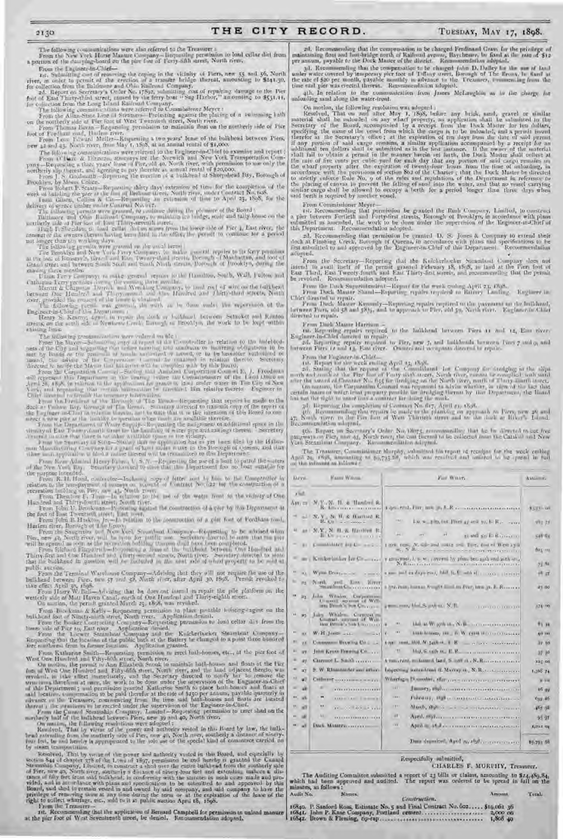The following communications were also referred to the Treasurer : From the New York Horse Manure Company—Requesting permission to load cellar dirt from a portion of the dumping-board on the pier foot of Forty-fifth street, North river.

From the Engineer-in-Chief-Int. Submitting cost of removing the caping in the vicinity of Piers, new 55 and 36. North<br>river, in order to permit of the eraction of a transler bridge thereat, amounting to \$241.30.<br>for collection from the Dahimore and

2d. Report on Secretary's Order No. 17892, submitting cost of repairing damage to the Pier<br>foot of East Thirty-thind street, caused by the ferry-boat "Sag Illarbor," amounting to \$531.11,

for collection from the Long Island Railroad Company.<br>The following communications were referred to Commissioner Meyer :<br>From the Allan-State Line of Steamers—Protesting against the placing of a swimming I ath

on the northerly side of Pier loot of West Twentieth street, North river. Front Thomas Bevan—Requesting permission to maintain float on the northerly side of Pier foot of Fordham road, Iladem river.<br>- From Leon 1:lward Muller—Requesting a two years' lease of the bulkhead between Piers,<br>new 42 and 43, North river, from May 1, 1%)5, at an annual rental of \$1,000.

The following communications were referred to the Engineer-in-Chief to examine and report :

From O'Hare & Theorem, atmentys let the Normich and New York Transportation Company - Requesting a three years' lease of Pler, all 40, North river, with permission to use only the northerly ally there is, and agreeing to p

Prookley, by Messe Columb.<br>From Robert P. Staats - Requesting thirty days' extension of time for the completion of the<br>work as building the post of the first of Defining street. North ziens, under Contract No. 1688.<br>I rain delivery of spruce timber under Contract No. 617.

The following permiss were granted, to continue during the phototre of the Board<br>Tailinger and Ohio Rubbard Company, to maintain to lardge, ready and taily house on the<br>continuity add at Pier fost and culture ready and the

not length than i.o. working slays.<br>The following germin were graveed on the meal term: <br>The Bossides and New York: Prop Company, to make general replies to be fory promines<br>at the Bossides and New York: Prop Company that ensuing three months.

Union Ferry Company, to make general repairs to the Ilamilton, South, Wall, Fulton and Cathorine Leavy provides Jorne the country three months.<br>- Mercus & Chapman Derrick and Wrecking Company, to land real of wholen the balkhead<br>between Doc Humber' and Thory mount and One Hundred and Thirty-third streets, No

river, provided the consent of the lessee is obtained. The following permit was granted, the work to be done under the supervision of the

Engineer-in-Chief of this Department Henry S. Kearuv, agent, to repair the dock or hilklfca l between Setauket and Ranton streets, on the south side of Newtown Creek, Borough of Brooklyn, the work to be kept within existing lines.

The following president at wear reduced on the Coronal or telectron to the indebted-<br>rest at the Mayer-Salumity and the property of the southwate to have<br>trianged by leads on the gauge that the following ratio and the con

the Lagineer m-Charta relation therein, as I to only that it is the intention of this Renti forces<br>manner a new part at the incremental convenience when much are available therefore.<br>The position of which the condition of

From Rear Admiral Henry Erben, 1'. S. N.—Requesting the use of a boat to patrol the waters of the New York Bay. Secretary directed to state that this Department has no boat suitable for the purpose intended.

From B. D. Head, contrador—Indo-so recept of the and by him to the Uningtender in relation to the properties of the contraction of a reception Distribution of the set of the contraction of a reception of the free from The

public auction.

From the Terminal Warehouse Company—:\dvising that they will not require the use of the bulkhead between Piers, nety 57 and 58, North river, after April 30, 1898. Permit revoked to take effect April 30, iS9S. From Harry W. Bell—Advising that he does not intend to repair the pile platform on the

westerly side of Mott Haven Canal, north of One Hundred and Thirty-eighth street.<br>On motion, the permit granted Morch 25, 1898, was revoked.

From Brookman & Kelly - Requesting permission to place particle building agine on the building foot of Ninetz-ai th street, North river. Application detect.<br>From the Booker Controving Company—Requesting permission to load

From Katharine Smith—Requesting permission to erect bath-houses, etc., at the pier foot of West One Hundred and Fifty-filth street, North river.

On motion, the premit in Ann Elizabeth Snoak to maintain bath-houses and floats of the Unit first of the Humberland Ethy-fifth steet, North view, and the land eithers there is no controlled to the effect of the term of th

markedy half of the bulkbead between Piers, new 30 and 40, North cives.<br>On musics, the following resolutions were adopted:<br>Resolved in this Hoard by law, the bulk-<br>heal extending from the settlement of the power and antiop

Resolved, That by variant the power and authority varied in this Board, and equality by<br>section 844 of chapter 378 of the Law of 3897, permission be and horizby to granted the Causard<br>Stermonic Company, I,finited, to cons From the Treasurer -

rst. Recommending that the application of Bernard Campbell for permission to unload manure at the pier foot of West Seventeenth street, be denied. Recommendation adopted.

2sl. Hecommending that the compensation in be charged Ferdinand Grass for the privilege of<br>maintaining iloat and hou-bridge north of Railmad avenue, Haycheson, be fixed at the rate of \$12<br>per annum, payable to the Dock Mas

ad. Recommending that the compensation to be charged (abn D. Dalley has the nor of land<br>under water covered by temporary pier foot of Toffany steet, forcough of The Troma, he fixed at<br>the rate of 520 per mooth, payable moo

4th. In relation to the communication from Junes McLaughlin as to the charge for unloading sand along the water-front.

On motion, the following resolution was adopted.<br>
Resolved in the Most of the material shall be and<br>under on any what property, an application shall be uthnitted to the<br>Secretary of the Board, accompanied by a receipt fro

From Commissioner Meyer-

1st. Recommending that permission be granted the Bash Company, Limited, to construct<br>a pier between Fortieth and Forty-first streets, Borough of Brooklyn, in accordance with plans<br>submitted as amended, the work to be done

2d. Recommending that permission be granted D. S. Jones & Company to extend their<br>dock at Finshing Creek, Borongh of Queens, in accordance with plans and specifications to be<br>first submitted to and approved by the Engineer adopted.

From the Scoretary-Reporting that the Kulcherlacker Scoreshoot Company dees not<br>intend to avail itself of the permit granted February 18, 1868, to land at the Fier foot of<br>East Third, East Twenty-fourth and East Thirty-fir

From the flock Superintendent—Report for the week ending April 23, 1898. From Dock Master Shand—Reporting repairs required to Battery l.au ling. Engincer in-

Chief directed to repair.<br>- From Dack Moster Kennedy—Reporting repairs required to the payment on the buildwest.<br>Letwern Plans, and FR and 58%, and to approach to Play, and 50, North river. - Engines an Chief<br>directed to r

From Dock Master Harrison-

rate Maymeting repairs required to the faithfield between Piers to and i.e., Emi river-<br>Engineer-In-Chief-diversed to repair:<br>ad. Reparting repairs required to Fier, new 7, and buildbends between Piers 7 and  $g_i$  and<br>betw

From the Engineer-in-Chief-

(a). Repair for the week ending April 23, 1898.<br>2d. Stating that the request of the Consultation Let Company for translating is the ally-<br>morb and sumb of the Pigs hast of Party dark areas. Such these, something in and soc

3d. Beyoning the completing of Contrast No. 617, April 15, 1858.<br>3th Recommending that repairs be made to the planking on approach to Piers, new 26 and<br>47. Needs river, to the Pier foot of West Thirtight street and so the

50. Bepart on Secretary's Order No. 1895; recommending that he in directed to set ive.<br>pangways on Pier, now 4g, North tiver, the cost factoril to be collected from the Catal of and Now<br>York Steamboar Company. The commenda

The Treasurer, Commissioner Murphy, submitted his report of receiper for the week ending<br>April 29, tS98, amounting to 59,793.68, which was received and ordered to he spread in full April 29, 1898, animanting

| Davis                        | <b>Kana Warm</b>                                                                                  | First Winner.                                                                      | Astolian.        |
|------------------------------|---------------------------------------------------------------------------------------------------|------------------------------------------------------------------------------------|------------------|
| y lot.                       |                                                                                                   |                                                                                    |                  |
| Am ==                        | M.Y., W. H. & Handrei R.                                                                          | Light and PRC and J. L.R. (Contractional contract                                  | $3 - 11 - 10$    |
| القو                         | N.Y. S. H. & Harttard R.<br><b>BALL ALLIA</b>                                                     | $-11-$<br>La, w_pits, lat. Fract 40 and yo, le R .-                                | 993-25           |
|                              | ав   М.У., N. П. х. Патом Е.<br>WANTED TO THE TABLE                                               | <b>SALE</b><br>$\rightarrow$<br>$\cdots$<br>at and so In Burnamore                 | <b>SHIVEY</b>    |
|                              | Committee the Country of                                                                          | tions year. N. Co- and some year from double West and<br>$m_1 \leq M_1$            | <b>BOIS</b> HALL |
|                              | are Kendowlanday for Commission                                                                   | a greater to be well avered by plans becausing and girls and<br>N. Harry           | <b>75.51</b>     |
| $\cdots$<br><b>H.L.</b>      | Wynn Bross <sub>box</sub><br><b>Allen Ave</b>                                                     | cannot be found to property of the field of the state of the state of the state of | 通过               |
| 95                           | Portly and then Hiver<br>Strandont Chair<br>                                                      | the Poly Assess Frank County and the Poly June 21, Rossey of                       | <b>21.00</b>     |
| $\Xi$                        | John Whales, Corporation<br><b>University assessment of Write</b><br>into Brank's from Concerning | a www.com, blocks. askett, N.T.<br><b><i>CONTRACTOR CONTRACTOR</i></b>             | $174 - 100$      |
| ш<br>25                      | Jules Whidess, Corporation<br>Construct comment of Will-<br>Into: Develope Sold Americans         | like at Wrapth and Nell-communications.<br>$-11$                                   | 01.04            |
| $\cdots$<br>w                | $W(H)$ long $-1$                                                                                  | 183<br>but busines, its  In W. (500 HOTO OTGALL)<br>×                              | <b>CO Has</b>    |
| V.K                          | Countries Hearing Co.,                                                                            |                                                                                    | 17.80            |
| <b>IFV</b>                   | John Kruss Hooving Co.,                                                                           | w                                                                                  | 37 80            |
| ay.                          |                                                                                                   |                                                                                    | $325 - 20$       |
| $\overline{37}$              | 5. W. Rhondesder and attac-                                                                       |                                                                                    | 1,558 74         |
| 18<br><b>W</b>               | Colleger consumers with                                                                           | Wharford I's wallety (SHETTER CONTINUES) IN CONTINUES.                             | <b>William</b>   |
| 48                           |                                                                                                   | $-51$                                                                              | $m_{B}$          |
| $\mathbf{m}_{\alpha}$<br>ab. | ×<br><b>AAAAD AAD IN BROOK BY</b>                                                                 | $-111 -$<br>Foliology Higher continued autococious - -                             | 0.45.46          |
| <b>ATT</b>                   | $\bullet$<br>and the first part of the local                                                      | $-11$                                                                              | <b>ARS IN</b>    |
| $-8$                         | u.<br>.                                                                                           | $\mathbf{H}$                                                                       | 95.91            |
| $\cdots$ aB                  | <b>Link MASHES SSSSSSS</b>                                                                        | -m<br>April 31 Malays commercial contracts research                                | KITLE GI         |
|                              |                                                                                                   | Date deposited. April analythese conserva-                                         | 69,791 68        |

## Respectfully submitted, CHARLES F. MURPHY, Treasurer.

The Auditing Committee submitted a report of 23 bills or claims, amounting to \$24,489.84, which had been approved and audited. The report was ordered to be spread in full on the minutes, as follows : Audit No. Names. Amount. Total.

Construction. 16840. P. Sanford Ross, Estimate No. 5 and Final Contract No. 602..... \$1g,o61 36 16841. John P. Kane Company, Portland cement ..................... 2,000 00 16842. Brown & Fleming, rip-rap ................................... 1,8o8 4o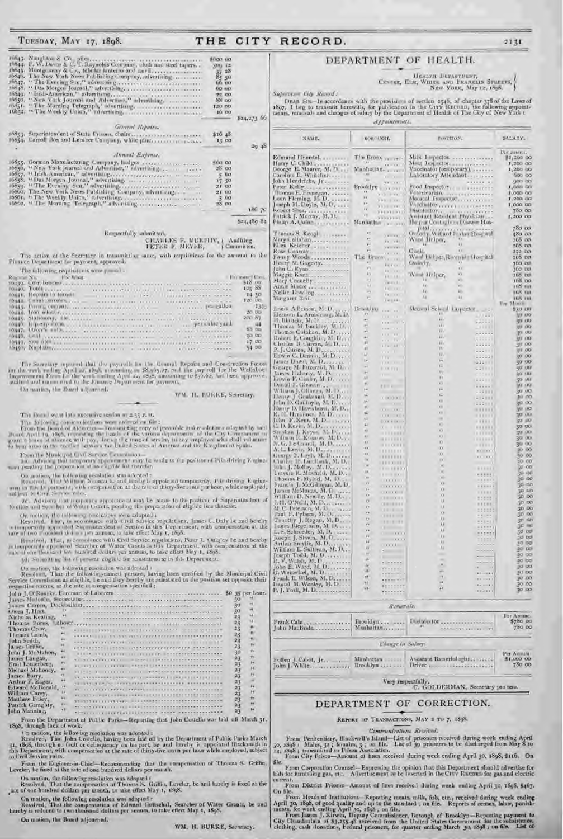$\begin{array}{ll} \textbf{168}_{45}, \textbf{ Nanglaton & Co., pile}\\ \textbf{168}_{44}, \textbf{F, W. Levoe & C.}, \textbf{rile},\\ \textbf{168}_{44}, \textbf{F, W. Levoe & C.}, \textbf{tabular lantetms and' and the d'aglers}\\ \textbf{168}_{45}, \textbf{Mongomery & Co., tabular lantetms and' and}\\ \textbf{168}_{45}, \textbf{V. The New York New Publishing Company, advertising}\\ \textbf{168}_{45}, \textbf{P. The New York Journal and Alerting},\\ \textbf{168}_{45}, \textbf{P. The Natural Journal and Alerting},\\$ \$000.00  $3^{101}$   $12$ <br> $17$   $48$ 話望 00 187 Supervisor City Record: 22.00 88 po 120 00 16.00  $524,7$ General Repairs.  $$16.48$ 13.00 Annual Expanse. 16855, German Manufacturing Company, Ludges<br>
16859, "New York Journal and Arbentier," advertising.<br>
16857, "Trish-American," advertising.<br>
16858, " Das Morgen Journal," advertising.<br>
16859, "The Evening Son," advertising.<br>  $560$   $00$  $28.00$  $\frac{5}{17}$   $\frac{0.0}{20}$ <br>21 00 21 183  $\frac{3}{28}$  60  $524,4$  $\begin{tabular}{ll} \textbf{B} respectively & almost  
to, \\ & \textbf{CHAWLKS} & \textbf{F, MURPHV}_1 & \textbf{Andling} \\ \textbf{PEFER} & \textbf{B, MEVER}_i & \textbf{I} \\ \end{tabular}$ The action of the Secretary in transmitting same, with requirement for the amount of Finance Department for payment, approved. The following requisitons were posed . **IF ALL ECOLARY**  $518$ 105 320 200  $\frac{1}{17}$ 34 The Sucretary reported that the psycotic for the General Repairs and Construction in the work valing April as, 1898, amounting to \$8,05,5,7, and the psycoli for the Wall Impersement From the work valing April 22, 1868, am On marine, the Doort adjourned. WM. H. BURRE, Secretary The Roand went late executive sendor at ± 35 P. M. The following consumption<br>from were ordered on  $6\pi$ : From the following consumption<br>from were ordered on  $6\pi$ : From the Board of Aldeston – Franchistan relative and resulting the local April 19, 1895, reporting the head From the Municipal Cast Service Commission—<br>Tel. Advisor the driving Reserves approximate may be made to the position of File driving Reserves the preparation of an exigible for therefore On motion, the following resolution was adopted:<br>  $\mathbb R$  is appointed temporardy. Fine driving Essential Markov, That William Novama is: and is rely is appointed temporardy. Fine driving Essential in the LY partner<br>at  $\math$  $\mathfrak{M}.$  Advisor that is opening approximate at may be made to the position of Superintend for the original of Water Grants, pending the preparation of cligible lists therefore On motion, the tolerating resolutions were adopted:<br>
Resetwed, J and the set and the community of the community of the community of the community of the community of the community of the set of the set of the set of the s Recoived, That, is accordence with Creil Service regulations, Peter J. Quigley be and I is temporarily appointed Searcher of Water Canada in this Department, with compensation rate of mondation bundled deliars per annum, t 30. Sobroitting the of persons engine for remaintement in this Department. (a) Solvanting the of persons cognic for constant<br>ment in this Department. On =otion, the tollowing resolution was adopted<br>
Recolvent, That the following-named persons barrier sensities of the Manicipal<br>
Report For commis 23 23 Matthew Foley Pattick Geraghty,<br>John Manning, 23  $4F$ 23 APRIL IT ROWLAND CORRECT ASSAMLANCES From the Department of Public Parks-Reporting that John Costello was laid off Man 1898, through lack of work.

THE

CITY RECORD.

TUESDAY, MAY 17, 1898.

(b) motion, the following resolution was adopted:<br>
Resolved, That John Costello, having been taid off by the Department of Public Parks March<br>
31, 1868, through no fault or delinquency on his part, be and bereby is appoint From the Engineer-in-Chief-Recommending that the compensation of Thomas S. Griffin,

Leveler, be fixed at the rate of one hundred dellars per month.

On motion, the following resolution was adopted :<br>  ${\bf Ressolved, \ \ } {\bf That \ the \ component on \ of \ The ones. } {\bf Gidfin, \ Lveeler, \ {\bf be \ and \ thereby \ in \ fixed \ at \ the \ rate \ of \ one \ hundred \ dollar \ per \ month, \ in \ take \ effect \ May \ 1, \ 1898.}$ 

On motion, the following resolution was adopted :<br>Resolved, That the compensation of Edward Gottschal, Searcher of Water Grants, be and<br>hereby is reduced to two theasand dullars per amoun, to take effect May 1, 1898.

On motion, the Board adjourned.

WM, H. BURKE, Secretary,

## DEPARTMENT OF HEALTH.

UESTRE, HEATH DEPARTMENT,<br>CESTRE, HEM, WHITE AND PRANKLIN SYBERTS,<br>NEW YORK, May 12, 1898.

DEAR SIN-In accordance with the provisions of section 1546, of chapter 378 of the Laws of 1897. I beg to transmit berewith, for publication in the City Statuan, the following appointments, removals and changes of salary by

|                                                                           | BORGHMII,<br>The Brook your Free                                                                                                                                                                                                                                                                                                                                                                                                                                                                                                                                                                                                                                                                                                                                                                                                                                                                                                                                                                                                                                                                                                                                                                                                                                                                                                                                                                                                                                                                                                                                              |                                                                                                                                                                                                                                                                                                                                                                                                                                                                                                                                                                                       | hostphan.                                                                                                                                                                                                                                                                                  | SALARY.                                                                                                                                                                                                                                                                                                                                                                                                                                                                                                                                                                                                               |
|---------------------------------------------------------------------------|-------------------------------------------------------------------------------------------------------------------------------------------------------------------------------------------------------------------------------------------------------------------------------------------------------------------------------------------------------------------------------------------------------------------------------------------------------------------------------------------------------------------------------------------------------------------------------------------------------------------------------------------------------------------------------------------------------------------------------------------------------------------------------------------------------------------------------------------------------------------------------------------------------------------------------------------------------------------------------------------------------------------------------------------------------------------------------------------------------------------------------------------------------------------------------------------------------------------------------------------------------------------------------------------------------------------------------------------------------------------------------------------------------------------------------------------------------------------------------------------------------------------------------------------------------------------------------|---------------------------------------------------------------------------------------------------------------------------------------------------------------------------------------------------------------------------------------------------------------------------------------------------------------------------------------------------------------------------------------------------------------------------------------------------------------------------------------------------------------------------------------------------------------------------------------|--------------------------------------------------------------------------------------------------------------------------------------------------------------------------------------------------------------------------------------------------------------------------------------------|-----------------------------------------------------------------------------------------------------------------------------------------------------------------------------------------------------------------------------------------------------------------------------------------------------------------------------------------------------------------------------------------------------------------------------------------------------------------------------------------------------------------------------------------------------------------------------------------------------------------------|
|                                                                           |                                                                                                                                                                                                                                                                                                                                                                                                                                                                                                                                                                                                                                                                                                                                                                                                                                                                                                                                                                                                                                                                                                                                                                                                                                                                                                                                                                                                                                                                                                                                                                               |                                                                                                                                                                                                                                                                                                                                                                                                                                                                                                                                                                                       |                                                                                                                                                                                                                                                                                            |                                                                                                                                                                                                                                                                                                                                                                                                                                                                                                                                                                                                                       |
|                                                                           |                                                                                                                                                                                                                                                                                                                                                                                                                                                                                                                                                                                                                                                                                                                                                                                                                                                                                                                                                                                                                                                                                                                                                                                                                                                                                                                                                                                                                                                                                                                                                                               |                                                                                                                                                                                                                                                                                                                                                                                                                                                                                                                                                                                       |                                                                                                                                                                                                                                                                                            | Per annoni.                                                                                                                                                                                                                                                                                                                                                                                                                                                                                                                                                                                                           |
|                                                                           |                                                                                                                                                                                                                                                                                                                                                                                                                                                                                                                                                                                                                                                                                                                                                                                                                                                                                                                                                                                                                                                                                                                                                                                                                                                                                                                                                                                                                                                                                                                                                                               | Meut Inspector,                                                                                                                                                                                                                                                                                                                                                                                                                                                                                                                                                                       | Milk Imperior.                                                                                                                                                                                                                                                                             | \$1,200.00<br>1,200.00                                                                                                                                                                                                                                                                                                                                                                                                                                                                                                                                                                                                |
| George E. Maurer, M. D                                                    | Machattan,                                                                                                                                                                                                                                                                                                                                                                                                                                                                                                                                                                                                                                                                                                                                                                                                                                                                                                                                                                                                                                                                                                                                                                                                                                                                                                                                                                                                                                                                                                                                                                    |                                                                                                                                                                                                                                                                                                                                                                                                                                                                                                                                                                                       | Vaccinator (temporary),                                                                                                                                                                                                                                                                    | 1,200.00                                                                                                                                                                                                                                                                                                                                                                                                                                                                                                                                                                                                              |
| 1,830<br>Caroline E. Whiteler<br>Ym.                                      | $1 - 11$                                                                                                                                                                                                                                                                                                                                                                                                                                                                                                                                                                                                                                                                                                                                                                                                                                                                                                                                                                                                                                                                                                                                                                                                                                                                                                                                                                                                                                                                                                                                                                      |                                                                                                                                                                                                                                                                                                                                                                                                                                                                                                                                                                                       | Laboratory Attendant                                                                                                                                                                                                                                                                       | 600.00<br>000.00                                                                                                                                                                                                                                                                                                                                                                                                                                                                                                                                                                                                      |
|                                                                           |                                                                                                                                                                                                                                                                                                                                                                                                                                                                                                                                                                                                                                                                                                                                                                                                                                                                                                                                                                                                                                                                                                                                                                                                                                                                                                                                                                                                                                                                                                                                                                               |                                                                                                                                                                                                                                                                                                                                                                                                                                                                                                                                                                                       |                                                                                                                                                                                                                                                                                            | $I_1$ DOO CO                                                                                                                                                                                                                                                                                                                                                                                                                                                                                                                                                                                                          |
|                                                                           |                                                                                                                                                                                                                                                                                                                                                                                                                                                                                                                                                                                                                                                                                                                                                                                                                                                                                                                                                                                                                                                                                                                                                                                                                                                                                                                                                                                                                                                                                                                                                                               |                                                                                                                                                                                                                                                                                                                                                                                                                                                                                                                                                                                       |                                                                                                                                                                                                                                                                                            | 1,000 00                                                                                                                                                                                                                                                                                                                                                                                                                                                                                                                                                                                                              |
| <b>COLLECT</b>                                                            |                                                                                                                                                                                                                                                                                                                                                                                                                                                                                                                                                                                                                                                                                                                                                                                                                                                                                                                                                                                                                                                                                                                                                                                                                                                                                                                                                                                                                                                                                                                                                                               |                                                                                                                                                                                                                                                                                                                                                                                                                                                                                                                                                                                       |                                                                                                                                                                                                                                                                                            | 1,200,00<br>1,000.00                                                                                                                                                                                                                                                                                                                                                                                                                                                                                                                                                                                                  |
|                                                                           |                                                                                                                                                                                                                                                                                                                                                                                                                                                                                                                                                                                                                                                                                                                                                                                                                                                                                                                                                                                                                                                                                                                                                                                                                                                                                                                                                                                                                                                                                                                                                                               |                                                                                                                                                                                                                                                                                                                                                                                                                                                                                                                                                                                       |                                                                                                                                                                                                                                                                                            | 750 00                                                                                                                                                                                                                                                                                                                                                                                                                                                                                                                                                                                                                |
|                                                                           |                                                                                                                                                                                                                                                                                                                                                                                                                                                                                                                                                                                                                                                                                                                                                                                                                                                                                                                                                                                                                                                                                                                                                                                                                                                                                                                                                                                                                                                                                                                                                                               |                                                                                                                                                                                                                                                                                                                                                                                                                                                                                                                                                                                       |                                                                                                                                                                                                                                                                                            | 1,200,00                                                                                                                                                                                                                                                                                                                                                                                                                                                                                                                                                                                                              |
|                                                                           |                                                                                                                                                                                                                                                                                                                                                                                                                                                                                                                                                                                                                                                                                                                                                                                                                                                                                                                                                                                                                                                                                                                                                                                                                                                                                                                                                                                                                                                                                                                                                                               |                                                                                                                                                                                                                                                                                                                                                                                                                                                                                                                                                                                       |                                                                                                                                                                                                                                                                                            | 780 00                                                                                                                                                                                                                                                                                                                                                                                                                                                                                                                                                                                                                |
| $\frac{1}{2}$                                                             | 1.1.1.1.1.1.1                                                                                                                                                                                                                                                                                                                                                                                                                                                                                                                                                                                                                                                                                                                                                                                                                                                                                                                                                                                                                                                                                                                                                                                                                                                                                                                                                                                                                                                                                                                                                                 |                                                                                                                                                                                                                                                                                                                                                                                                                                                                                                                                                                                       |                                                                                                                                                                                                                                                                                            | 480 00                                                                                                                                                                                                                                                                                                                                                                                                                                                                                                                                                                                                                |
|                                                                           | <b>Friday</b>                                                                                                                                                                                                                                                                                                                                                                                                                                                                                                                                                                                                                                                                                                                                                                                                                                                                                                                                                                                                                                                                                                                                                                                                                                                                                                                                                                                                                                                                                                                                                                 |                                                                                                                                                                                                                                                                                                                                                                                                                                                                                                                                                                                       |                                                                                                                                                                                                                                                                                            | 105 00                                                                                                                                                                                                                                                                                                                                                                                                                                                                                                                                                                                                                |
|                                                                           |                                                                                                                                                                                                                                                                                                                                                                                                                                                                                                                                                                                                                                                                                                                                                                                                                                                                                                                                                                                                                                                                                                                                                                                                                                                                                                                                                                                                                                                                                                                                                                               |                                                                                                                                                                                                                                                                                                                                                                                                                                                                                                                                                                                       |                                                                                                                                                                                                                                                                                            | 108 00<br>252 DO                                                                                                                                                                                                                                                                                                                                                                                                                                                                                                                                                                                                      |
|                                                                           |                                                                                                                                                                                                                                                                                                                                                                                                                                                                                                                                                                                                                                                                                                                                                                                                                                                                                                                                                                                                                                                                                                                                                                                                                                                                                                                                                                                                                                                                                                                                                                               |                                                                                                                                                                                                                                                                                                                                                                                                                                                                                                                                                                                       |                                                                                                                                                                                                                                                                                            | 118 00                                                                                                                                                                                                                                                                                                                                                                                                                                                                                                                                                                                                                |
|                                                                           | <b>REFERED</b>                                                                                                                                                                                                                                                                                                                                                                                                                                                                                                                                                                                                                                                                                                                                                                                                                                                                                                                                                                                                                                                                                                                                                                                                                                                                                                                                                                                                                                                                                                                                                                |                                                                                                                                                                                                                                                                                                                                                                                                                                                                                                                                                                                       |                                                                                                                                                                                                                                                                                            | <b>SDO DO</b>                                                                                                                                                                                                                                                                                                                                                                                                                                                                                                                                                                                                         |
|                                                                           |                                                                                                                                                                                                                                                                                                                                                                                                                                                                                                                                                                                                                                                                                                                                                                                                                                                                                                                                                                                                                                                                                                                                                                                                                                                                                                                                                                                                                                                                                                                                                                               |                                                                                                                                                                                                                                                                                                                                                                                                                                                                                                                                                                                       |                                                                                                                                                                                                                                                                                            | 300 DD<br>165 bot                                                                                                                                                                                                                                                                                                                                                                                                                                                                                                                                                                                                     |
|                                                                           | 1.000 E L.L.                                                                                                                                                                                                                                                                                                                                                                                                                                                                                                                                                                                                                                                                                                                                                                                                                                                                                                                                                                                                                                                                                                                                                                                                                                                                                                                                                                                                                                                                                                                                                                  |                                                                                                                                                                                                                                                                                                                                                                                                                                                                                                                                                                                       |                                                                                                                                                                                                                                                                                            | HIS DO                                                                                                                                                                                                                                                                                                                                                                                                                                                                                                                                                                                                                |
| W.                                                                        | <b>LEFFITH</b>                                                                                                                                                                                                                                                                                                                                                                                                                                                                                                                                                                                                                                                                                                                                                                                                                                                                                                                                                                                                                                                                                                                                                                                                                                                                                                                                                                                                                                                                                                                                                                |                                                                                                                                                                                                                                                                                                                                                                                                                                                                                                                                                                                       |                                                                                                                                                                                                                                                                                            | <b>TICS THE</b><br><b>TEX THE</b>                                                                                                                                                                                                                                                                                                                                                                                                                                                                                                                                                                                     |
|                                                                           | 1111111                                                                                                                                                                                                                                                                                                                                                                                                                                                                                                                                                                                                                                                                                                                                                                                                                                                                                                                                                                                                                                                                                                                                                                                                                                                                                                                                                                                                                                                                                                                                                                       | Xk                                                                                                                                                                                                                                                                                                                                                                                                                                                                                                                                                                                    | $-48$                                                                                                                                                                                                                                                                                      | <b>LGW THE</b>                                                                                                                                                                                                                                                                                                                                                                                                                                                                                                                                                                                                        |
|                                                                           |                                                                                                                                                                                                                                                                                                                                                                                                                                                                                                                                                                                                                                                                                                                                                                                                                                                                                                                                                                                                                                                                                                                                                                                                                                                                                                                                                                                                                                                                                                                                                                               |                                                                                                                                                                                                                                                                                                                                                                                                                                                                                                                                                                                       |                                                                                                                                                                                                                                                                                            | Top Moore                                                                                                                                                                                                                                                                                                                                                                                                                                                                                                                                                                                                             |
| $\bullet$                                                                 | <b>HERTER</b>                                                                                                                                                                                                                                                                                                                                                                                                                                                                                                                                                                                                                                                                                                                                                                                                                                                                                                                                                                                                                                                                                                                                                                                                                                                                                                                                                                                                                                                                                                                                                                 | 11.7                                                                                                                                                                                                                                                                                                                                                                                                                                                                                                                                                                                  |                                                                                                                                                                                                                                                                                            | \$30,000<br><b>JUL KKY</b>                                                                                                                                                                                                                                                                                                                                                                                                                                                                                                                                                                                            |
| ×                                                                         | man alley                                                                                                                                                                                                                                                                                                                                                                                                                                                                                                                                                                                                                                                                                                                                                                                                                                                                                                                                                                                                                                                                                                                                                                                                                                                                                                                                                                                                                                                                                                                                                                     | in.                                                                                                                                                                                                                                                                                                                                                                                                                                                                                                                                                                                   | <b>SALLE</b>                                                                                                                                                                                                                                                                               | 图1 KXX                                                                                                                                                                                                                                                                                                                                                                                                                                                                                                                                                                                                                |
|                                                                           | <b>HERE'S ET</b>                                                                                                                                                                                                                                                                                                                                                                                                                                                                                                                                                                                                                                                                                                                                                                                                                                                                                                                                                                                                                                                                                                                                                                                                                                                                                                                                                                                                                                                                                                                                                              |                                                                                                                                                                                                                                                                                                                                                                                                                                                                                                                                                                                       | $-1.11.$                                                                                                                                                                                                                                                                                   | 311 00                                                                                                                                                                                                                                                                                                                                                                                                                                                                                                                                                                                                                |
| n4                                                                        | <b><i><u><i>ALCO</i></u></i></b>                                                                                                                                                                                                                                                                                                                                                                                                                                                                                                                                                                                                                                                                                                                                                                                                                                                                                                                                                                                                                                                                                                                                                                                                                                                                                                                                                                                                                                                                                                                                              | Aug.                                                                                                                                                                                                                                                                                                                                                                                                                                                                                                                                                                                  |                                                                                                                                                                                                                                                                                            | WI 00<br>491 IXX                                                                                                                                                                                                                                                                                                                                                                                                                                                                                                                                                                                                      |
| $\overline{11}$                                                           |                                                                                                                                                                                                                                                                                                                                                                                                                                                                                                                                                                                                                                                                                                                                                                                                                                                                                                                                                                                                                                                                                                                                                                                                                                                                                                                                                                                                                                                                                                                                                                               | He is                                                                                                                                                                                                                                                                                                                                                                                                                                                                                                                                                                                 | 111111                                                                                                                                                                                                                                                                                     | 3/17 100                                                                                                                                                                                                                                                                                                                                                                                                                                                                                                                                                                                                              |
|                                                                           | 11111                                                                                                                                                                                                                                                                                                                                                                                                                                                                                                                                                                                                                                                                                                                                                                                                                                                                                                                                                                                                                                                                                                                                                                                                                                                                                                                                                                                                                                                                                                                                                                         |                                                                                                                                                                                                                                                                                                                                                                                                                                                                                                                                                                                       | 1222999                                                                                                                                                                                                                                                                                    | 30 x 100                                                                                                                                                                                                                                                                                                                                                                                                                                                                                                                                                                                                              |
| 14                                                                        | $1171 - 1$                                                                                                                                                                                                                                                                                                                                                                                                                                                                                                                                                                                                                                                                                                                                                                                                                                                                                                                                                                                                                                                                                                                                                                                                                                                                                                                                                                                                                                                                                                                                                                    | Fe.                                                                                                                                                                                                                                                                                                                                                                                                                                                                                                                                                                                   |                                                                                                                                                                                                                                                                                            | RO 00<br>50 00                                                                                                                                                                                                                                                                                                                                                                                                                                                                                                                                                                                                        |
| $\mathcal{A}$                                                             |                                                                                                                                                                                                                                                                                                                                                                                                                                                                                                                                                                                                                                                                                                                                                                                                                                                                                                                                                                                                                                                                                                                                                                                                                                                                                                                                                                                                                                                                                                                                                                               | F.                                                                                                                                                                                                                                                                                                                                                                                                                                                                                                                                                                                    | $-221111$                                                                                                                                                                                                                                                                                  | 90 VXI                                                                                                                                                                                                                                                                                                                                                                                                                                                                                                                                                                                                                |
| it)                                                                       | $1 - 1$                                                                                                                                                                                                                                                                                                                                                                                                                                                                                                                                                                                                                                                                                                                                                                                                                                                                                                                                                                                                                                                                                                                                                                                                                                                                                                                                                                                                                                                                                                                                                                       |                                                                                                                                                                                                                                                                                                                                                                                                                                                                                                                                                                                       | 44411                                                                                                                                                                                                                                                                                      | <b>30 UG</b>                                                                                                                                                                                                                                                                                                                                                                                                                                                                                                                                                                                                          |
|                                                                           |                                                                                                                                                                                                                                                                                                                                                                                                                                                                                                                                                                                                                                                                                                                                                                                                                                                                                                                                                                                                                                                                                                                                                                                                                                                                                                                                                                                                                                                                                                                                                                               | x.                                                                                                                                                                                                                                                                                                                                                                                                                                                                                                                                                                                    | 1222111                                                                                                                                                                                                                                                                                    | <b>20: MI</b>                                                                                                                                                                                                                                                                                                                                                                                                                                                                                                                                                                                                         |
| j.                                                                        |                                                                                                                                                                                                                                                                                                                                                                                                                                                                                                                                                                                                                                                                                                                                                                                                                                                                                                                                                                                                                                                                                                                                                                                                                                                                                                                                                                                                                                                                                                                                                                               | i2                                                                                                                                                                                                                                                                                                                                                                                                                                                                                                                                                                                    |                                                                                                                                                                                                                                                                                            | <b>MX 1873</b><br>30 00                                                                                                                                                                                                                                                                                                                                                                                                                                                                                                                                                                                               |
| 54                                                                        | <b>CONTRACTOR</b>                                                                                                                                                                                                                                                                                                                                                                                                                                                                                                                                                                                                                                                                                                                                                                                                                                                                                                                                                                                                                                                                                                                                                                                                                                                                                                                                                                                                                                                                                                                                                             | n.                                                                                                                                                                                                                                                                                                                                                                                                                                                                                                                                                                                    | 1202088                                                                                                                                                                                                                                                                                    | 31.00                                                                                                                                                                                                                                                                                                                                                                                                                                                                                                                                                                                                                 |
|                                                                           | $\mathbf{1} \qquad \mathbf{1} \qquad \mathbf{1}$                                                                                                                                                                                                                                                                                                                                                                                                                                                                                                                                                                                                                                                                                                                                                                                                                                                                                                                                                                                                                                                                                                                                                                                                                                                                                                                                                                                                                                                                                                                              | 18 1                                                                                                                                                                                                                                                                                                                                                                                                                                                                                                                                                                                  | 1222988                                                                                                                                                                                                                                                                                    | 30.00                                                                                                                                                                                                                                                                                                                                                                                                                                                                                                                                                                                                                 |
| 84                                                                        |                                                                                                                                                                                                                                                                                                                                                                                                                                                                                                                                                                                                                                                                                                                                                                                                                                                                                                                                                                                                                                                                                                                                                                                                                                                                                                                                                                                                                                                                                                                                                                               | XH.                                                                                                                                                                                                                                                                                                                                                                                                                                                                                                                                                                                   |                                                                                                                                                                                                                                                                                            | 314 183<br>30 00                                                                                                                                                                                                                                                                                                                                                                                                                                                                                                                                                                                                      |
| $5 - 2$                                                                   | $0.11.011 - x$                                                                                                                                                                                                                                                                                                                                                                                                                                                                                                                                                                                                                                                                                                                                                                                                                                                                                                                                                                                                                                                                                                                                                                                                                                                                                                                                                                                                                                                                                                                                                                | $\rightarrow$                                                                                                                                                                                                                                                                                                                                                                                                                                                                                                                                                                         |                                                                                                                                                                                                                                                                                            | 50 IN                                                                                                                                                                                                                                                                                                                                                                                                                                                                                                                                                                                                                 |
| $-44$                                                                     | $X = 11111$                                                                                                                                                                                                                                                                                                                                                                                                                                                                                                                                                                                                                                                                                                                                                                                                                                                                                                                                                                                                                                                                                                                                                                                                                                                                                                                                                                                                                                                                                                                                                                   | XX.                                                                                                                                                                                                                                                                                                                                                                                                                                                                                                                                                                                   | <b>BREERS</b>                                                                                                                                                                                                                                                                              | 30.00                                                                                                                                                                                                                                                                                                                                                                                                                                                                                                                                                                                                                 |
| $-11$                                                                     | $-111111111$                                                                                                                                                                                                                                                                                                                                                                                                                                                                                                                                                                                                                                                                                                                                                                                                                                                                                                                                                                                                                                                                                                                                                                                                                                                                                                                                                                                                                                                                                                                                                                  | $\Omega$                                                                                                                                                                                                                                                                                                                                                                                                                                                                                                                                                                              | 1111111                                                                                                                                                                                                                                                                                    | 20 M<br>30.00                                                                                                                                                                                                                                                                                                                                                                                                                                                                                                                                                                                                         |
| $-1.0$                                                                    |                                                                                                                                                                                                                                                                                                                                                                                                                                                                                                                                                                                                                                                                                                                                                                                                                                                                                                                                                                                                                                                                                                                                                                                                                                                                                                                                                                                                                                                                                                                                                                               | 0                                                                                                                                                                                                                                                                                                                                                                                                                                                                                                                                                                                     |                                                                                                                                                                                                                                                                                            | 39.00                                                                                                                                                                                                                                                                                                                                                                                                                                                                                                                                                                                                                 |
|                                                                           | 18888888                                                                                                                                                                                                                                                                                                                                                                                                                                                                                                                                                                                                                                                                                                                                                                                                                                                                                                                                                                                                                                                                                                                                                                                                                                                                                                                                                                                                                                                                                                                                                                      |                                                                                                                                                                                                                                                                                                                                                                                                                                                                                                                                                                                       | $11 - 111$                                                                                                                                                                                                                                                                                 | 30.00                                                                                                                                                                                                                                                                                                                                                                                                                                                                                                                                                                                                                 |
|                                                                           |                                                                                                                                                                                                                                                                                                                                                                                                                                                                                                                                                                                                                                                                                                                                                                                                                                                                                                                                                                                                                                                                                                                                                                                                                                                                                                                                                                                                                                                                                                                                                                               |                                                                                                                                                                                                                                                                                                                                                                                                                                                                                                                                                                                       | 111111                                                                                                                                                                                                                                                                                     | 59.00                                                                                                                                                                                                                                                                                                                                                                                                                                                                                                                                                                                                                 |
| 100                                                                       |                                                                                                                                                                                                                                                                                                                                                                                                                                                                                                                                                                                                                                                                                                                                                                                                                                                                                                                                                                                                                                                                                                                                                                                                                                                                                                                                                                                                                                                                                                                                                                               | m                                                                                                                                                                                                                                                                                                                                                                                                                                                                                                                                                                                     |                                                                                                                                                                                                                                                                                            | 50.00<br>to-ce                                                                                                                                                                                                                                                                                                                                                                                                                                                                                                                                                                                                        |
| 188.                                                                      |                                                                                                                                                                                                                                                                                                                                                                                                                                                                                                                                                                                                                                                                                                                                                                                                                                                                                                                                                                                                                                                                                                                                                                                                                                                                                                                                                                                                                                                                                                                                                                               | 11                                                                                                                                                                                                                                                                                                                                                                                                                                                                                                                                                                                    |                                                                                                                                                                                                                                                                                            | 30.00                                                                                                                                                                                                                                                                                                                                                                                                                                                                                                                                                                                                                 |
|                                                                           | 11111111                                                                                                                                                                                                                                                                                                                                                                                                                                                                                                                                                                                                                                                                                                                                                                                                                                                                                                                                                                                                                                                                                                                                                                                                                                                                                                                                                                                                                                                                                                                                                                      |                                                                                                                                                                                                                                                                                                                                                                                                                                                                                                                                                                                       |                                                                                                                                                                                                                                                                                            | 30 OC                                                                                                                                                                                                                                                                                                                                                                                                                                                                                                                                                                                                                 |
| $-14$                                                                     | $-11111111$                                                                                                                                                                                                                                                                                                                                                                                                                                                                                                                                                                                                                                                                                                                                                                                                                                                                                                                                                                                                                                                                                                                                                                                                                                                                                                                                                                                                                                                                                                                                                                   | XX)                                                                                                                                                                                                                                                                                                                                                                                                                                                                                                                                                                                   | 122223                                                                                                                                                                                                                                                                                     | 90 12<br>30 EX                                                                                                                                                                                                                                                                                                                                                                                                                                                                                                                                                                                                        |
| $-1$                                                                      |                                                                                                                                                                                                                                                                                                                                                                                                                                                                                                                                                                                                                                                                                                                                                                                                                                                                                                                                                                                                                                                                                                                                                                                                                                                                                                                                                                                                                                                                                                                                                                               | XX.                                                                                                                                                                                                                                                                                                                                                                                                                                                                                                                                                                                   |                                                                                                                                                                                                                                                                                            | 30 <sub>o</sub>                                                                                                                                                                                                                                                                                                                                                                                                                                                                                                                                                                                                       |
|                                                                           | 10010333                                                                                                                                                                                                                                                                                                                                                                                                                                                                                                                                                                                                                                                                                                                                                                                                                                                                                                                                                                                                                                                                                                                                                                                                                                                                                                                                                                                                                                                                                                                                                                      | $\cdots u$                                                                                                                                                                                                                                                                                                                                                                                                                                                                                                                                                                            |                                                                                                                                                                                                                                                                                            | 30 DC                                                                                                                                                                                                                                                                                                                                                                                                                                                                                                                                                                                                                 |
| $\rightarrow$                                                             |                                                                                                                                                                                                                                                                                                                                                                                                                                                                                                                                                                                                                                                                                                                                                                                                                                                                                                                                                                                                                                                                                                                                                                                                                                                                                                                                                                                                                                                                                                                                                                               | XXI.                                                                                                                                                                                                                                                                                                                                                                                                                                                                                                                                                                                  | :::::                                                                                                                                                                                                                                                                                      | 30 <sub>0</sub><br>30 oc                                                                                                                                                                                                                                                                                                                                                                                                                                                                                                                                                                                              |
| v.                                                                        |                                                                                                                                                                                                                                                                                                                                                                                                                                                                                                                                                                                                                                                                                                                                                                                                                                                                                                                                                                                                                                                                                                                                                                                                                                                                                                                                                                                                                                                                                                                                                                               | $-10$                                                                                                                                                                                                                                                                                                                                                                                                                                                                                                                                                                                 |                                                                                                                                                                                                                                                                                            | 30 N                                                                                                                                                                                                                                                                                                                                                                                                                                                                                                                                                                                                                  |
| v.                                                                        | <b>Common</b>                                                                                                                                                                                                                                                                                                                                                                                                                                                                                                                                                                                                                                                                                                                                                                                                                                                                                                                                                                                                                                                                                                                                                                                                                                                                                                                                                                                                                                                                                                                                                                 | H.                                                                                                                                                                                                                                                                                                                                                                                                                                                                                                                                                                                    | 15999                                                                                                                                                                                                                                                                                      | 30 m                                                                                                                                                                                                                                                                                                                                                                                                                                                                                                                                                                                                                  |
| $-14$                                                                     | $1 - 1111$                                                                                                                                                                                                                                                                                                                                                                                                                                                                                                                                                                                                                                                                                                                                                                                                                                                                                                                                                                                                                                                                                                                                                                                                                                                                                                                                                                                                                                                                                                                                                                    | $+Y$                                                                                                                                                                                                                                                                                                                                                                                                                                                                                                                                                                                  | 22227                                                                                                                                                                                                                                                                                      | 30 00                                                                                                                                                                                                                                                                                                                                                                                                                                                                                                                                                                                                                 |
| u                                                                         |                                                                                                                                                                                                                                                                                                                                                                                                                                                                                                                                                                                                                                                                                                                                                                                                                                                                                                                                                                                                                                                                                                                                                                                                                                                                                                                                                                                                                                                                                                                                                                               | 18                                                                                                                                                                                                                                                                                                                                                                                                                                                                                                                                                                                    | <b>11111</b>                                                                                                                                                                                                                                                                               | 30 DO<br>30.00                                                                                                                                                                                                                                                                                                                                                                                                                                                                                                                                                                                                        |
| W                                                                         | <b>Harry Committee</b>                                                                                                                                                                                                                                                                                                                                                                                                                                                                                                                                                                                                                                                                                                                                                                                                                                                                                                                                                                                                                                                                                                                                                                                                                                                                                                                                                                                                                                                                                                                                                        | <b>IE</b>                                                                                                                                                                                                                                                                                                                                                                                                                                                                                                                                                                             |                                                                                                                                                                                                                                                                                            | 50 DO                                                                                                                                                                                                                                                                                                                                                                                                                                                                                                                                                                                                                 |
| ik.                                                                       | I Recommended                                                                                                                                                                                                                                                                                                                                                                                                                                                                                                                                                                                                                                                                                                                                                                                                                                                                                                                                                                                                                                                                                                                                                                                                                                                                                                                                                                                                                                                                                                                                                                 | $\sim$                                                                                                                                                                                                                                                                                                                                                                                                                                                                                                                                                                                |                                                                                                                                                                                                                                                                                            | <b>30 00</b>                                                                                                                                                                                                                                                                                                                                                                                                                                                                                                                                                                                                          |
| $-16$                                                                     | in Presso                                                                                                                                                                                                                                                                                                                                                                                                                                                                                                                                                                                                                                                                                                                                                                                                                                                                                                                                                                                                                                                                                                                                                                                                                                                                                                                                                                                                                                                                                                                                                                     | $\mathbf{H}$                                                                                                                                                                                                                                                                                                                                                                                                                                                                                                                                                                          |                                                                                                                                                                                                                                                                                            | 00 00<br>30 00                                                                                                                                                                                                                                                                                                                                                                                                                                                                                                                                                                                                        |
| 41                                                                        |                                                                                                                                                                                                                                                                                                                                                                                                                                                                                                                                                                                                                                                                                                                                                                                                                                                                                                                                                                                                                                                                                                                                                                                                                                                                                                                                                                                                                                                                                                                                                                               |                                                                                                                                                                                                                                                                                                                                                                                                                                                                                                                                                                                       | <b>LE MAIL</b>                                                                                                                                                                                                                                                                             | 20 00                                                                                                                                                                                                                                                                                                                                                                                                                                                                                                                                                                                                                 |
|                                                                           | 222-00                                                                                                                                                                                                                                                                                                                                                                                                                                                                                                                                                                                                                                                                                                                                                                                                                                                                                                                                                                                                                                                                                                                                                                                                                                                                                                                                                                                                                                                                                                                                                                        |                                                                                                                                                                                                                                                                                                                                                                                                                                                                                                                                                                                       | 111011                                                                                                                                                                                                                                                                                     | 50 00                                                                                                                                                                                                                                                                                                                                                                                                                                                                                                                                                                                                                 |
| <b>SIL</b>                                                                | 5000000                                                                                                                                                                                                                                                                                                                                                                                                                                                                                                                                                                                                                                                                                                                                                                                                                                                                                                                                                                                                                                                                                                                                                                                                                                                                                                                                                                                                                                                                                                                                                                       | ú.                                                                                                                                                                                                                                                                                                                                                                                                                                                                                                                                                                                    | $2.211 - 2.1$                                                                                                                                                                                                                                                                              | 30.00<br>10 00                                                                                                                                                                                                                                                                                                                                                                                                                                                                                                                                                                                                        |
|                                                                           |                                                                                                                                                                                                                                                                                                                                                                                                                                                                                                                                                                                                                                                                                                                                                                                                                                                                                                                                                                                                                                                                                                                                                                                                                                                                                                                                                                                                                                                                                                                                                                               |                                                                                                                                                                                                                                                                                                                                                                                                                                                                                                                                                                                       |                                                                                                                                                                                                                                                                                            |                                                                                                                                                                                                                                                                                                                                                                                                                                                                                                                                                                                                                       |
|                                                                           |                                                                                                                                                                                                                                                                                                                                                                                                                                                                                                                                                                                                                                                                                                                                                                                                                                                                                                                                                                                                                                                                                                                                                                                                                                                                                                                                                                                                                                                                                                                                                                               |                                                                                                                                                                                                                                                                                                                                                                                                                                                                                                                                                                                       |                                                                                                                                                                                                                                                                                            |                                                                                                                                                                                                                                                                                                                                                                                                                                                                                                                                                                                                                       |
|                                                                           |                                                                                                                                                                                                                                                                                                                                                                                                                                                                                                                                                                                                                                                                                                                                                                                                                                                                                                                                                                                                                                                                                                                                                                                                                                                                                                                                                                                                                                                                                                                                                                               |                                                                                                                                                                                                                                                                                                                                                                                                                                                                                                                                                                                       |                                                                                                                                                                                                                                                                                            | <b>For Annum</b>                                                                                                                                                                                                                                                                                                                                                                                                                                                                                                                                                                                                      |
|                                                                           |                                                                                                                                                                                                                                                                                                                                                                                                                                                                                                                                                                                                                                                                                                                                                                                                                                                                                                                                                                                                                                                                                                                                                                                                                                                                                                                                                                                                                                                                                                                                                                               | I telulo tor.                                                                                                                                                                                                                                                                                                                                                                                                                                                                                                                                                                         |                                                                                                                                                                                                                                                                                            | \$780.00<br>750 00                                                                                                                                                                                                                                                                                                                                                                                                                                                                                                                                                                                                    |
|                                                                           |                                                                                                                                                                                                                                                                                                                                                                                                                                                                                                                                                                                                                                                                                                                                                                                                                                                                                                                                                                                                                                                                                                                                                                                                                                                                                                                                                                                                                                                                                                                                                                               |                                                                                                                                                                                                                                                                                                                                                                                                                                                                                                                                                                                       |                                                                                                                                                                                                                                                                                            |                                                                                                                                                                                                                                                                                                                                                                                                                                                                                                                                                                                                                       |
|                                                                           |                                                                                                                                                                                                                                                                                                                                                                                                                                                                                                                                                                                                                                                                                                                                                                                                                                                                                                                                                                                                                                                                                                                                                                                                                                                                                                                                                                                                                                                                                                                                                                               |                                                                                                                                                                                                                                                                                                                                                                                                                                                                                                                                                                                       |                                                                                                                                                                                                                                                                                            | Per Amum<br>\$1,000.00<br>780.00                                                                                                                                                                                                                                                                                                                                                                                                                                                                                                                                                                                      |
|                                                                           |                                                                                                                                                                                                                                                                                                                                                                                                                                                                                                                                                                                                                                                                                                                                                                                                                                                                                                                                                                                                                                                                                                                                                                                                                                                                                                                                                                                                                                                                                                                                                                               |                                                                                                                                                                                                                                                                                                                                                                                                                                                                                                                                                                                       |                                                                                                                                                                                                                                                                                            |                                                                                                                                                                                                                                                                                                                                                                                                                                                                                                                                                                                                                       |
|                                                                           |                                                                                                                                                                                                                                                                                                                                                                                                                                                                                                                                                                                                                                                                                                                                                                                                                                                                                                                                                                                                                                                                                                                                                                                                                                                                                                                                                                                                                                                                                                                                                                               |                                                                                                                                                                                                                                                                                                                                                                                                                                                                                                                                                                                       |                                                                                                                                                                                                                                                                                            |                                                                                                                                                                                                                                                                                                                                                                                                                                                                                                                                                                                                                       |
|                                                                           |                                                                                                                                                                                                                                                                                                                                                                                                                                                                                                                                                                                                                                                                                                                                                                                                                                                                                                                                                                                                                                                                                                                                                                                                                                                                                                                                                                                                                                                                                                                                                                               |                                                                                                                                                                                                                                                                                                                                                                                                                                                                                                                                                                                       |                                                                                                                                                                                                                                                                                            |                                                                                                                                                                                                                                                                                                                                                                                                                                                                                                                                                                                                                       |
|                                                                           |                                                                                                                                                                                                                                                                                                                                                                                                                                                                                                                                                                                                                                                                                                                                                                                                                                                                                                                                                                                                                                                                                                                                                                                                                                                                                                                                                                                                                                                                                                                                                                               |                                                                                                                                                                                                                                                                                                                                                                                                                                                                                                                                                                                       |                                                                                                                                                                                                                                                                                            |                                                                                                                                                                                                                                                                                                                                                                                                                                                                                                                                                                                                                       |
|                                                                           |                                                                                                                                                                                                                                                                                                                                                                                                                                                                                                                                                                                                                                                                                                                                                                                                                                                                                                                                                                                                                                                                                                                                                                                                                                                                                                                                                                                                                                                                                                                                                                               | DEPARTMENT OF CORRECTION.                                                                                                                                                                                                                                                                                                                                                                                                                                                                                                                                                             |                                                                                                                                                                                                                                                                                            |                                                                                                                                                                                                                                                                                                                                                                                                                                                                                                                                                                                                                       |
| Patrick J. Murray, M. D.<br>Julin J. Molloy, M. D.<br>John E. Ward, M. D. | John Hendricks, Jr.<br>Thomas E. Finnegan,<br>in<br>Leon Fleming, $M, D, \ldots, \ldots$<br>Joseph M. Doyle, M. D.<br>$1 -$<br>×<br>W.<br>John L. Byan<br>$\overline{1}$<br>$\overline{11}$<br>Herman L. Armstrong, M. D.,<br>H. Blattels, M. D.<br>is E<br>Thomas M. Buckley, M. D., Thomas Colahan, M. D.,<br>×.<br>Robert E. Conghlin, M. D.,<br>Charles B. Carran, M. D.,<br>$\mathbf{u}$<br>$P_k$ J. Curren, $M_1D_{k+1,k+1+1,k+1}$<br>h<br>E Iwm C. Dennin, M. D.<br>James Dowd, M. Drought<br>George M. Fitzerald, M. D.<br>James Flaberty, M. D.<br>AT.<br>Errwin F. Gissler, M. D.<br>$\mathbf{u}$<br>William J. Gilmen, M. D.,<br>Heary J. Comformul, M. D.<br>54<br>John D. Gadfayle, M. D.<br>$^{11}$<br>Henry D. Hawshard, M. D.,<br>K. H. Herkmer, M. D.   <br>John F. Kent, M. D. (1997)<br>G. D. Keym, M. D.<br>$\lambda$<br>Suphan 1. Keyes, M. D.<br>William E. Kissans, M. D.<br>M.G. Le Grand, M.D.<br>$-181$<br>Arta Lewis, M. Darren in Lit<br>$-181$<br>George P. Leyli, M. D.<br>$\cdots$<br>Travers R. Masheld, M. D.<br>$-101$<br>I hommy F. Mylod, M. D.<br>$-11$<br>Francis J. McGillogan, M. D.<br>James McManns, M. D. 1222.<br>William D. Neville, M. D.<br>$-14$<br>L. H. O'Neill, M. D.<br>$\rightarrow$<br>M. C. Peterson, M. D.<br>Paul F. Pylning, M. D.<br>Timothy J. Regan, M. D<br>Laura Rieselman, M. D.<br>$-10$<br>L. S. Schroeder, M. I. L.<br>Joseph J. Slavin, M. D.<br>Arthur Smylie, M. D.,<br>William E. Sullivan, M. D.<br>$-14$<br>Joseph Todd, M. D.<br>R. V. Walsh, M. D.,<br>15, Weiseckel, M. D<br>$\mathbf{H}$<br>$+1$ | 3111111<br>Peter Kelly  Brooklyo<br><b>COLLEGE</b><br>333 33337<br>3331 1110<br>$R = 1011(101)$<br>-39333993<br>Philip A. Quinn  Maniather<br>a more within<br><br>The Brook<br><b><i><u><i><u>ATTTTTTT</u></i></u></i></b><br><b>ELVILLE</b><br>LEGISLE<br>Louis Adlenda, M.D., , Brandyn<br><br>mail last<br><b>ELSTRITS</b><br>11111111<br>0.0011<br>$8 - 0$<br>$11 - 111111$<br>1111111111<br>---------<br>$-11101111$<br>188900881<br><b>I R III R R R D C</b><br>111 120 1<br>$11 - 11 - 1$<br>$-0.0$ = 0.0 m s<br><br>1111<br><b>TELL</b><br>Brooklyn<br>Manhattan<br>Brooklyn | Waxd Litiper.<br>Cook<br><b>Contacty</b><br>Wind Helper.<br>AV.<br>AV.<br>aka.<br>Title.<br>18.1<br>14.7<br>N<br>$\mathbf{r}$<br>XH.<br>XX<br>œ<br>OX.<br>83<br>(11)<br>XX)<br>18<br>11<br><b>SHOP</b><br>$-4.$<br>$\overline{a}$<br>Remarcule.<br>Change In Salary,<br>Very respectfully, | Food Importor<br>Veterinarian, more presentanta<br>Modanal Freepooler<br>Vaccinator, and concentring<br>Historica processive ment<br>Avaistant Resident Physicials<br>Hetpar Contegions Oscase Hos-<br>Onderly, Willard Parker Hospoul<br>Want Belper, Room of Hospital<br>w<br>W.<br>Medical School Important, 2017<br>$-1144$<br><br>111111<br>(111101)<br>(41199)<br>1222221<br>-----<br>-------<br>------<br><b>I R R R R R F</b><br>$-111111$<br><br>688880<br>13333<br>81818<br>11.11<br>$4 + 1 + 1$<br>124222<br>ASSESSMENT PLATFORM<br>Assistant Barreriologister control<br>C. GOLDERMAN, Secretary pro tem. |

From Penitentiary, Illackwell's Island—List of prisoners received during work ending April<br>50, 1898 : Males, 32 ; females, 35 on file. List of 39 prisoners to be discharged from May 8 to<br>14, 1898 : transmitted to Prison As

file. From Corporation Counsel -- Expression the opinion that this Department should advertise for hids for funnishing gas, etc. Advertisement to be inserted in the City RECORD for gas and clertric current.

From District Frismes-Amount of fines received during week ending April 30, 1898, 5467. On file.

on me.<br>From Heads of Institutions—Reporting meats, milk, fish, etc., received during week ending<br>April 30, 1898, of good quality and up to the standard : on file. Reports of census, lalase, punishments, for week ending Apr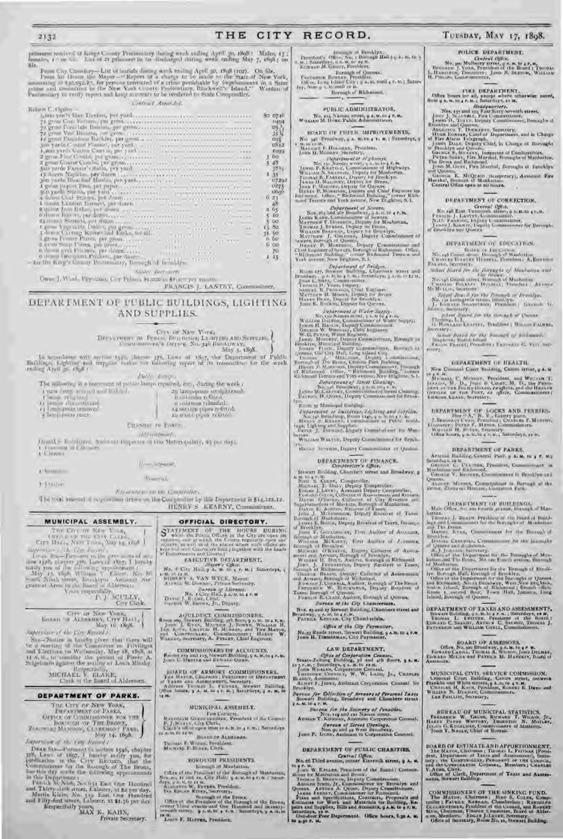## THE CITY RECORD.

 $\hat{\mathbf{a}}$ 

primmers reactived at Kongs County Pentiumlary throng work ending April 20, 1868 : Males, 13 ;<br>figurates, 1 + m nn. Lau of 21 prisoners in the discharged during week ending May 7, 1895 ; on Bile.

From Cay Country—List of burials during week ending April 30, 1898 (102). On file, From fat theory, the Mayor—" Report of a charge to be made to the State of New York, assuming 10 +20,032.8  $\tau$  for persons convicted of a

C. America Arc

| <b>IN A DOMESTIC MALES AND RESIDENCE OF A 49 YO F.</b>                                                                                                                                                                                                                                                                                                                                                                                   |                         |
|------------------------------------------------------------------------------------------------------------------------------------------------------------------------------------------------------------------------------------------------------------------------------------------------------------------------------------------------------------------------------------------------------------------------------------------|-------------------------|
| darri C. Ogden -                                                                                                                                                                                                                                                                                                                                                                                                                         |                         |
|                                                                                                                                                                                                                                                                                                                                                                                                                                          | <b>ko</b> 0740          |
|                                                                                                                                                                                                                                                                                                                                                                                                                                          | <b>IMM</b>              |
|                                                                                                                                                                                                                                                                                                                                                                                                                                          |                         |
|                                                                                                                                                                                                                                                                                                                                                                                                                                          | $\frac{95}{35}$ (       |
| Le growt Paniculous Birthlets per growth and concernances are accessively as a                                                                                                                                                                                                                                                                                                                                                           |                         |
|                                                                                                                                                                                                                                                                                                                                                                                                                                          | $\frac{\log x}{\log x}$ |
|                                                                                                                                                                                                                                                                                                                                                                                                                                          | すまけな                    |
|                                                                                                                                                                                                                                                                                                                                                                                                                                          | $300 -$                 |
|                                                                                                                                                                                                                                                                                                                                                                                                                                          |                         |
|                                                                                                                                                                                                                                                                                                                                                                                                                                          | $5 - 48$                |
|                                                                                                                                                                                                                                                                                                                                                                                                                                          |                         |
| $\begin{minipage}{0.9\textwidth} \begin{minipage}{0.9\textwidth} \begin{tabular}{ c c } \hline 3\&\textbf{0.9\textwidth} \begin{tabular}{ c c } \hline 3\&\textbf{0.9\textwidth} \begin{tabular}{ c c } \hline 3\&\textbf{0.9\textwidth} \begin{tabular}{ c c } \hline 3\&\textbf{0.9\textwidth} \begin{tabular}{ c c } \hline 3\&\textbf{0.9\textwidth} \begin{tabular}{ c c } \hline 3\&\textbf{0.9\textwidth} \begin{tabular}{ c c }$ |                         |
|                                                                                                                                                                                                                                                                                                                                                                                                                                          | 0275                    |
|                                                                                                                                                                                                                                                                                                                                                                                                                                          |                         |
|                                                                                                                                                                                                                                                                                                                                                                                                                                          |                         |
|                                                                                                                                                                                                                                                                                                                                                                                                                                          | $6 - 21$                |
| A decora from Rother, per dealed as a concernance and contract the contract of                                                                                                                                                                                                                                                                                                                                                           | $= 0.5$                 |
| baloon for only paralogous concernance community and construction of the contract of                                                                                                                                                                                                                                                                                                                                                     | 5.10                    |
|                                                                                                                                                                                                                                                                                                                                                                                                                                          | 500                     |
|                                                                                                                                                                                                                                                                                                                                                                                                                                          | 13.80                   |
|                                                                                                                                                                                                                                                                                                                                                                                                                                          | <b>TT 50</b>            |
|                                                                                                                                                                                                                                                                                                                                                                                                                                          | 0.00                    |
|                                                                                                                                                                                                                                                                                                                                                                                                                                          | 600                     |
|                                                                                                                                                                                                                                                                                                                                                                                                                                          |                         |
|                                                                                                                                                                                                                                                                                                                                                                                                                                          |                         |
|                                                                                                                                                                                                                                                                                                                                                                                                                                          |                         |
| Salar Augustav.                                                                                                                                                                                                                                                                                                                                                                                                                          |                         |
|                                                                                                                                                                                                                                                                                                                                                                                                                                          |                         |

Ower J. Ward, Physician Coy Frimm \$1,000 to \$1) temper months

## FRANCIS J. LANTRY, Commissioner,

## DEPARTMENT OF PUBLIC BUILDINGS, LIGHTING AND SUPPLIES.

In accordance with section  $t_2(t_0)$  chapter  $t_1t_0$ , Laws of  $t_2t_1$ , the Department of Public Hubble and engular makes the famology report of its transactions for the weak ending April  $\gg tR_0k$ .

**AWAY** Authorized

The millioning is a numerical of penile-lamps equated, etc., during the work (

- $\lambda$ uswelang arasasi and haktad.<br> $\Gamma$ lango religional.<br>O ismpa alimentariasi.<br>O ismpana arasasi.
	-
- 
- a latoju (meta znect
- $26$  lampepage arrightmost,  $\frac{1}{10}$  estimates of the  $1$  or columns related:  $14$  service pages is fitted:  $14$  service pages is fitted:

Ettissam av Tosere,

AN-addressive Donal S. Robbland, Sociolog Ingactor of the Meters (educe, \$2 per day), A FORCEST OF LABORES.

The et-Ad peaced.

A \*Soumulate 3. Johnson

The total amount of requirement drawn on the Comptreller by this Department is \$14,229,12.

## MUNICIPAL ASSEMBLY.

 $\begin{array}{c} \begin{array}{c} \text{True~} \text{Circ} \cdot m \cdot \text{New~} \text{Van}_1 \\ \text{Verc} \cdot m \cdot \text{Vrec} \cdot m \cdot \text{Verc} \\ \text{Cref} \cdot \text{Planck, New New} \cdot m \cdot \text{New} \cdot \text{New} \cdot m \cdot \text{Oos} \end{array} \end{array}$ ingerman a city City Record  $\begin{tabular}{l|c|c|c|c|c|c|c} \hline $\mathit{m} \rightarrow \mathit{m}$ & $\mathit{m}$ & $\mathit{m}$ & $\mathit{m}$ & $\mathit{m}$ & $\mathit{m}$ & $\mathit{m}$ & $\mathit{m}$ \\ \hline $i$ & $\mathit{m}$ & $\mathit{m}$ & $\mathit{m}$ & $\mathit{m}$ & $\mathit{m}$ & $\mathit{m}$ & $\mathit{m}$ & $\mathit{m}$ & $\mathit{m}$ & $\mathit{m}$ \\ \hline $i$ & $\mathit{m}$ & $\mathit{m}$ & $\mathit{m}$ & $\mathit{m}$ & $\mathit{m}$ & $\mathit{m}$ & $\mathit{m$ 

City Clock

# $\begin{array}{cc} \text{Gry as New Yang} \\ \text{Bosan} & \text{of Algeasors, Gry Hato},\\ \text{Map} & \text{of, 18} \\ \text{Map} & \text{to, 18} \\ \end{array}$

Supervisor of the City Newed s. Six -- Nature in brocky given that there will be a marting of the Committee in Privileges and Riccions on Wethersian, May 18, 1898, at  $\Omega \ll \kappa, \, \omega$ , as consider the proton of Pierre A. Seigelstern against the second of

Kespectially, MICHAEL F. HLAKE, Clerk of the Board of Aldermen.

## DEPARTMENT OF PARKS.

## THE CITY OF NEW YORK,<br>THEATTMANY OF PARKS, **ERPARTMENT OF THE BROES**<br>**DEPICE OF COMMISSIONER FOR THE BROES** ZAROWAG MANDON, CLARKMONT May 14, 1898.

Supervisor of the City Record :

Dean Stu-Parsment to section 1946, chapter 178, Laws of 1897, I besche notify you, for published in the City Riccary, that the Committeen for the blocking of The Bronz, in the published the blocking opposites

in this Inspirational :<br>
Parish McNun, No. 631 East One Hundred<br>
and Thirty-airb street, Laboror, at 52 per day.<br>
Martin Kiein, No. 510 East One Hundred<br>
and Fifty-first street, Laboror, at \$1.36 per day. Respectfully Town, K., KAHN,

Private Secretary.

## **Truncenti** PALINTALISM ON THE LOWPOOPERS. HENRY'S KEARNY, Commissioner,

## OFFICIAL DIRECTORY.

 $\begin{array}{l} \mbox{19.6\textwidth}{\begin{subarray}{l} \text{N1.6\textwidth}{\textwidth} \begin{tabular}{l} \text{N2.6\textwidth}{\textwidth} \begin{tabular}{l} \text{N3.6\textwidth} \end{tabular} \end{subarray}} \begin{subarray}{l} \mbox{N4.6\textwidth}{\textwidth} \begin{tabular}{l} \text{N5.6\textwidth}{\textwidth} \begin{tabular}{l} \text{N6.6\textwidth}{\textwidth} \begin{tabular}{l} \text{N6.6\textwidth}{\textwidth} \begin{tabular}{l} \text{N8.6\textwidth}{\textwidth} \begin{tabular}{l}$ 

## COMMISSIONERS DE ACCOUNTS,<br>Rooms say and reg. Stewart Building, y 4. M. to 4 P. B. Jones L. Hairrie and Entrain Queen,

JOARD OF ARMORY COMMISSIONERS, THE MATTER CHIRAGE PISSIONERS OF DEVALUES AS A SHOPLE WAS ASSESSED. The Matter of the Matter of the Matter of the Matter of the Matter of the Matter of the Matter of the Matter of the Matter 12 ML

## MUNICIPAL ASSEMBLY.

For Consert.<br>F. J. Short Green also pure the Consert of the Consert<br>Client's conservation in the most pure in the conservation of the state of the state of the state of the state<br>Client's conservation in a state and a stat

to de the 12 Miles of ALBERTAN.

## Thomas F. Wroos, Penident.<br>Manona F. Braus, Cerk.

## **BOROUGH PRISIDENTS.**

born ch of Manhattan. Office of the Prosince in this Eurooph of Manuating Summer 23 and ex. City Halle  $\eta$  as in the problem of the same dependent of the same of the same of the same of the same of the same of the same of the same of the same

Growth the President of the President Control of the Brease<br>Control Dird, example of the Direction of the Direction<br>of Secretary and Control of the Humbled and Secretary<br>terms of the Control of the Control of the Brease 19 H. HAPPEN, President.

## Rereugh of Richmond,

## PUBLIC ADMINISTRATOR. No. 129 Nashan street, a 4, M, 10 4 F. M.

TUESDAY, MAY 17, 1898.

PULICE DEPARTMENT.

 $\label{eq:constr} \begin{array}{ll} \textbf{Create Object},\\ \textbf{Now, use Mulkberg forest, g.s. is, to a.e.} \\ \textbf{Hermann 1}, \textbf{Yors, Prevalence the Baud } \textbf{I}. \textbf{Temperature},\\ \textbf{L: Homars, Desoners: Jors. B. Saxmin, Wattazw}\\ \textbf{H, Pmiss, Conorientance}, \end{array}$ 

 $\begin{tabular}{l|c|c|c|c|c} \hline & \multicolumn{1}{c}{\textbf{I-1}} & \multicolumn{1}{c}{\textbf{I-1}} & \multicolumn{1}{c}{\textbf{I-1}} & \multicolumn{1}{c}{\textbf{I-1}} & \multicolumn{1}{c}{\textbf{I-1}} & \multicolumn{1}{c}{\textbf{I-1}} & \multicolumn{1}{c}{\textbf{I-1}} & \multicolumn{1}{c}{\textbf{I-1}} & \multicolumn{1}{c}{\textbf{I-1}} & \multicolumn{1}{c}{\textbf{I-1}} & \multicolumn{1}{c}{\textbf{I-1}} &$ 

DEPARTMENT OF CORRECTION.

Central Office.<br>
No. 148 East Twentish attest a Achta a P.M. Francis J. Lateracy, Lommassoner.<br>
Francis J. Rastrov, Lepay Communicationer.<br>
Jacob J. Rastros, Lepay Communicationer.<br>
Jacob J. Rastros, Lepay Communicationer

DEPARTMENT OF EDUCATION,

 $\label{eq:constr} \begin{array}{ll} \mbox{minimize} & \mbox{if not closed} & \mbox{if not closed} & \mbox{if } \mbox{if } \mbox{if } \mbox{if } \mbox{if } \mbox{if } \mbox{if } \mbox{if } \mbox{if } \mbox{if } \mbox{if } \mbox{if } \mbox{if } \mbox{if } \mbox{if } \mbox{if } \mbox{if } \mbox{if } \mbox{if } \mbox{if } \mbox{if } \mbox{if } \mbox{if } \mbox{if } \mbox{if } \mbox{if } \mbox{if } \mbox{if } \mbox{if } \mbox{if$ 

 $\begin{array}{l} \text{where } \textit{linear for the monogal} \textit{ if a channel} \\ \text{Supp} \textit{ } \textit{in} \textit{ and a channel} \\ \text{Supp} \textit{ } \textit{in} \textit{ is a channel} \\ \text{Supp} \textit{ } \textit{in} \textit{ is a channel} \\ \text{Supp} \textit{ } \textit{in} \textit{ is a channel} \textit{ } \textit{in} \textit{ is a channel} \\ \textit{ } \textit{in} \textit{ is a channel} \textit{ } \textit{in} \textit{ is a channel} \\ \textit{ } \textit{in} \textit{ is a channel} \textit{ } \text$ 

DEPARTMENT OF HEALTH. New Common Court Building, Cantre Mries, p.4, is

18 18 K. C. McDarry, Freddent, and Warren T. Johnson, M. D., Jones H. Courtes, M. D., the Press-

DEPARTMENT OF LOCKS AND PRICHES,  $J, \mathbb{R} = \mathbb{R}^{n+1} \, A,^\infty \, \mathbb{R}$ , being place,  $J, \mathbb{R} = \mathbb{R}^{n+1} \, A,^\infty \, \mathbb{R}$ , being place,  $\mathbb{R}$ , Moreov, being the price  $\mathbb{R}$ , Moreov, Canton C. Moreov, Warrath B. Her

DEPARTMENT OF PARKS. Aragoni Building, Central Park 9 A.M. to 4 P. M.).

Saturday's rule.<br>
Guation C. Praising President, Commissioner in Manison C. Praising.<br>
Manison V. Browse, Commissioner in Braddyn and Change V. Browse, Commissioner in Braddyn and

Cancers, Microca, Campinator in Barangh of the British Cancers, Microca, Campinator Park.

 $\begin{array}{ll} \textbf{DERETMENT OF BULTDINGS} \\ \textbf{Min OStar, 742 200 2000W 4V4000}, \textbf{Normal} & \textbf{Man} \end{array}$ 

hattan.<br> Tunista J. Braziv. President of the local of Build-Bara and Commission's for the horizon of Mondation

ing a set Commission for the fluxing of all monogle of<br>The Brance, Kyang, Commission for the Branqu's of<br>Branckyn, Commission for the Branquette<br>District Commission for the Branquette

Dessine Communications<br>and Schematic Communications of Manuscript (Section 2014)<br>and Schematic Communications for the Demograph of Manuscript (Section 2015)<br>and Manuscript (Section 2016) and Schematic Communications of Man

DEPARTMENT OF TAXES AND ASSESSMENTS, Stewart Boliday, p.4.10.4 r. 0.: Saturdays, 10 M, Tuotas L. Europa C. Sunsay, Arms. C. Saturdays, 10 M, Passens L. Europa C. Saturday, Daniel J. Partments and Williams County, Commissi

 $\begin{array}{c} \text{BOABD OF ASSESORS},\\ \text{Offree, No, set Bresidway, g.s. to a P. W.}\\ \text{Iamanii Cauchy, Troszais A, Winesy, forov DEAMs, Eoswais. M. O.}\\ \text{Eosyano McQita and Parsiyos M. H. W.} \end{array}$ 

MUNICIPAL CIVIL SERVICE COMMISSION, Grantal Court Brilding, Gentre struct, octaces Franklin and White struct, Ginana E. Dayo and William N. Director, Commissioners, E. Dayo and William N. Director, Serrary,

 $\hat{\pi}$  HEREAU OF MUNICIPAL STATISTICS, FRAMERY W. GREEN, ROBERT AND PLACE IN A HOLD (STATISTICS), FRAMERY (STATISTICS), FORD T. NAMER, Unit (STATISTICS), Contraction of Municipal

 ${\tt BOARD OF EFT}$  MATE AND APPORTIONMENT, the Mayon, Ghaliman r Tunisto L. Puttons (Postson, Darrence), Senior (Postson, Darrence), Senior (Postson, the Congression, Parameter or the Congression Congress, Members r Canadian V. A

COMMISSIONERS OF THE SINKING FUND.<br>The MATO-, Chairman : Jinto S. Cotten, Comparain: Fature. Neutran, Chamberlain: Research<br>train: Fature. Neutran, Chamberlain: Research Giornal, and Roomer<br>Monten Maton. Dard of Alder-a-e

 $m = 4T$ 

BOARD OF FUILIC IMPROVEMENTS, No. 34: Broadway, 5 A. 81.18 4 Iv. 8. 1 Saturdays, 9<br>Mein van K. Hansanay, Premions.<br>John C.C. F. Hansanay, Premions.<br>John H. Macosey, Surretary.

med Terrets and Yest avenue, ives triguino, a.s.<br>
Sox and and Yest avenue, ives triguino, a.s.<br>
Sox and and the Herminical States.<br>
Louis Kaste, Common other of States.<br>
Theory is a mediator, the property for the states.<br>

From type Websterboard of Bridges,<br>Reconstruct of Bridges, Reconstruct of Bridges, Chambers Street and<br>Brankway, a s. no. 014 b, no incurred graphs of the January of the Transition of Transition of Transition<br>Transition of

Jone E. Backwan Deputy for Queens.<br>
Reductional of Pater Supply (Northern Controls). No New York Commissions of Water Septime Heading Commissions of Water Septime (Northern Commissions of Water Septime Groups (Northern Co

Department of Street Channel<br>Line Marine Marine (Channel Channel)<br>James Marine (Channel Channel Channel Channel)<br>James Marine (Channel Channel Channel Channel)  $\frac{1}{2} \sum_{i=1}^n \frac{1}{2}$  Markonal Hadding.

 $\begin{tabular}{l|c|c|c|c|c|c|c|c} \hline \multicolumn{3}{c}{\textbf{Pya-entropy of } Inuclidean, Llylying and inppline.} \\ \hline \multicolumn{3}{c}{\textbf{Xa-gat&}\textbf{Itrinology, Rom } V(\mathbf{c})\neq 0\ \&\textbf{I}\ \&\textbf{I}\ \&\textbf{I}\ \&\textbf{I}\ \&\textbf{I}\ \&\textbf{I}\ \&\textbf{I}\ \&\textbf{I}\ \&\textbf{I}\ \&\textbf{I}\ \&\textbf{I}\ \&\textbf{I}\ \&\textbf{I}\ \&\textbf{I}\ \&\$ 

Instant, WALTER, Deputy Commission of the first k-The extensive primary Commissions of Quantity

DEPARTMENT OF FINANCE.<br>Complements (2004).<br>Stawart Boulour, Chambers areast and Boulour, 9

Straiter Forders, Compared and Broadway,  $g$ <br>
An Montes Conten, Comparedor, An Hermitz, Records and Broadway,  $g$ <br>
Norm S. Cotten, Comparedor,<br>
Norm set T. Daty, Repuls Comparedor,<br>
From an Caroly, Assistant Repuls Compar

Nos, ay and by Stewart Building, Chambers street and<br>readway, a A. at, to 4 r. s.<br>PATRICK KEEBAR, City Chamberlain,

Office of the City Paymaster. No.33 Reade Mroet, Strwart Building, 9 A.M. to 4 F.M.<br>Jouw H. Thamsaman, City Paymaster,

## LAW DEPARTMENT,

LAW BEPARTMENT,<br>
Strats-Zeiturg Evolution Counter,<br>
Strats-Zeiturg Evolution, 3 a.m.<br>
10 s.r.m.; Superdays, 4 a.m. to 19.00<br>
(now Witsters, Components, W. W. LABD, Jr., Catenant<br>
Tansony, Assessmes, W. W. LABD, Jr., Catena

Burran for Collection of Arrears of Fersonal Taxes<br>Stowart Building, Broadway and Chambers struct

## $3 A. M. to a F. M.$ **Eureon for the Eureony of Feastlet.**<br>Non-regard for Names street.<br>Annual T. Kininkas, American Corporation Corporate.

Sereon of Sirces Ojenings,<br>Non-90 and 92 West Broadway,<br>Jann P. Denn, Assistant in Corporation Counsel.

## DEPARTMENT OF PUBLIC CHARITIES.

Central Office, No. of Third avenue, corner Eleventh street, 9 A. M.

No. 65 Third President and Branch in the Limited Continues of the Limited Termins the Mariner by Theories of Branch (The Commissioner of Brooklyn and Appendix Arrange Commissioner or Brooklyn and Limited Commissioner (The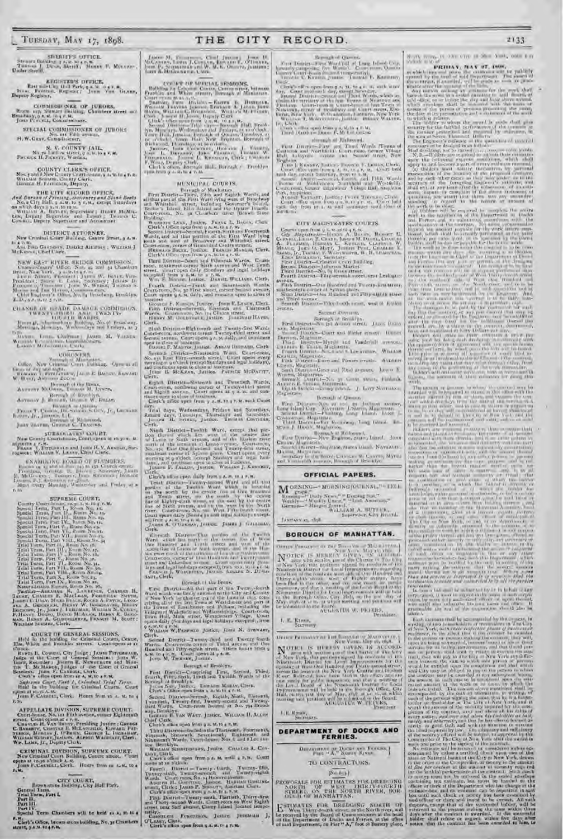# SHEARIFF'S OFFICE.<br>Tunnels J. Deve, String, Tannels J. Deve, String, Tannel J. Deve, String, Tannel J. Morran-

REGISTER'S DEFICE,<br>East size the Unit Park, p.s. W. o.g.v. W.<br>S. Formals, Register: Journ Von Grann,

Depoty Registry,

COMMISSIONER OF JURORS, Romans are the state of the commission of the state of the state of the product of the state of the state of the state of the state of the state of the state of the state of the state of the state o

SPECIAL COMMISSIONER OF JURORS H.W. GRAY, Commissioner,

 $\begin{array}{c} \mathbb{R}, \ \mathbb{V}, \ \text{COTINTV JAIL},\\ \text{Non\_m-Loofow-structure}, \ y \ s, \ w, \text{loc} \ s, \text{st}.\\ \text{Perrows H, Pescorr}, \ \text{Wardens} \end{array}$ 

 $\begin{array}{c} \text{COUNTY CLASS } \text{OUVFCK}\\ \text{New panel 2 few Congress } \\ \text{Witz and 2New Congress } \\ \text{Witz and 3:} \\ \text{Gwann, University Cier, \\ \text{Gwann, H. Postcase}, \text{Depaty,} \end{array}$ Military Felds

## **DISTRICT ATTORNEY, New Grandon County Burner, a A.M.**

In A.P. M. .<br>Ass. Boan Gaansawa, District Aimrocy ; WultiAbi J<br>McKessar, Charl Clerk,

NEW EAST HIVER JIEIDGE COMMISSION, Cambridge<br> $\gamma'$ Often, New Ag and at Chambers trees, New York, a scalar point<br> $W$  . For New York, and the Chambers of the President : Start L. Lang, Searchey ; Jettice Breaking : Start L.

 $\begin{tabular}{ll} \multicolumn{2}{l}{{\bf C}UASUB\_OU\_SEAD\_DAAAGL\_COMMISTCOS}, \\ & {\bf TWEXTV+UABL} & {\bf AAM\_TWENTV} \\ & {\bf UOLU-L} & {\bf AABJSE}, \\ & {\bf BOMD} & {\bf BABJSE}, \\ & {\bf BOMD} & {\bf BABJSE}, \\ & {\bf MQ} & {\bf BABJSE}, \\ & {\bf MQ} & {\bf MQ} & {\bf MQ} \\ \end{tabular}$ 

teritorium Louis Chaltman Japan, M. Varsina Wernstein Constantin Lucius Chefs.

 $\begin{tabular}{c} \multicolumn{1}{c}{\textbf{CORONPMN}}\\ \multicolumn{1}{c}{\textbf{CORONPMN}}\\ \multicolumn{1}{c}{\textbf{CORC}}\\ \multicolumn{1}{c}{\textbf{OR}}\\ \multicolumn{1}{c}{\textbf{OR}}\\ \multicolumn{1}{c}{\textbf{OR}}\\ \multicolumn{1}{c}{\textbf{OR}}\\ \multicolumn{1}{c}{\textbf{OR}}\\ \multicolumn{1}{c}{\textbf{OR}}\\ \multicolumn{1}{c}{\textbf{OR}}\\ \multicolumn{1}{c}{\textbf{OR}}\\ \multicolumn{1}{c}{\textbf{OR}}$ 

ANTHONY MCOWER, THURSE M. LYNCH.

Arresty J. Bernar, Grant W. Dezer,

 $\begin{array}{ll} \textbf{P}_{\text{RQCD}}\text{ }T_{\text{L}}\text{ } \textbf{C} \textbf{e} \textbf{m} \textbf{a} \textbf{b} \textbf{a} \textbf{b} \textbf{b} \textbf{b} \textbf{c} \textbf{c} \textbf{c} \textbf{c} \textbf{b} \textbf{c} \textbf{b} \textbf{c} \textbf{c} \textbf{c} \textbf{b} \textbf{c} \textbf{b} \textbf{c} \textbf{b} \textbf{c} \textbf{c} \textbf{b} \textbf{c} \textbf{b} \textbf{c} \textbf{b$ 

SURROGATION GOURT.<br>New County Court-frame, Contropeon or recycle. & nomome a r. k.<br>Feans J. Tirgunes to and Jose H. V. Associo, Sur-<br>regates : Wittians V. Lassey, Chief Cierk.

**EXAMINING HOARD OF PLUMBERS, Therman Contract Contract Contract Contract Contract Contract Contract Contract Contract Contract Contract Contract Contract Contract Contract Contract Contract Contract Contract Contract Cont** 

## SUPREME COURT,

| County Court-Incast, 20.31.31.10 p. r. b                                                                |  |
|---------------------------------------------------------------------------------------------------------|--|
| Special Lema, Jarr L., Room No. 15.                                                                     |  |
| Special Term, Part, I., Ruore, No. 14.                                                                  |  |
| Yandai Terro, Fari III., Buma No. 15.                                                                   |  |
| Special Firms Part Dec Runnichter te-                                                                   |  |
| Special Term, Part V., Room No. 25.                                                                     |  |
| Special Terro, Part Viq Room Norway                                                                     |  |
| Special Term, Part VII., Burns No-es,                                                                   |  |
| Special Torm, Part VALL, Krom five 34                                                                   |  |
| Trial Torro, Part II., Massa Net, 16,                                                                   |  |
| Trial Term, Part III, Boom No. 17.                                                                      |  |
| Trial Tursa, Jury I.F., Rome, No. 18,                                                                   |  |
| Trial Ferm, Fart V., House No. in.                                                                      |  |
| Trial Turn, Part VI., Room No. 31.                                                                      |  |
| Telal Term, Latt VII., Room No. 36.                                                                     |  |
| Telal Term, Part Villa, Brom Novin,                                                                     |  |
| Trial Term, Part X., Room No. 23.<br>and it is an additional and the control of the control of the con- |  |
|                                                                                                         |  |

This Term, Part N., Room No. 22,<br>
Naturalization Research AS, Room No. 22,<br>
Naturalization Research As, Room No. 23,<br>
Tanika, Chikara, R., Lawrence, Rachies, Chikara, Saven, Linka, Chikara, Rachies, Secretic Sevent,<br>
Lamka

COURT OF GENERAL SESSIONS,<br>Held in the lunking for Grimmal Courts, Centre,<br> $m$ , White and Franklin attempt. Countopens at it Held to the through merecase Court operas at reflection. Where the control of the control of the control of the property property of the control of the control of the control of the control of the control of the control o

Joan F. Cassons, Clock. Hours from in a. st, to a

APPELLATE DIVISION, SUPREME COURT.<br>Contribuser, No. 111 Filth avenue, corner Eighteenth

Controllers, No. 11 Fifth assessor, corner Eighteenth<br>Cassing H. Vas Basery, Presiding Justice : George<br>Colection H. Vas Basery, Presiding Justice : George<br>Theory, Construct B. McLaventer, Representation<br>Theory, Memory, Ju

**CRIMINAL DIVISION, SUPRIME COURT.**<br>New Gratinal Court Bullion, Centre atreet. Thurt opens at to go which A.S.<br> $\int \cos w \, V_x C \sinh x$ , Centre inten in  $x, w$ , to a



". H. Clerk's Office, brown stone building, No, 3s Chambers street, p.a.u. su 47.m.

THE CITY

COURT OF MUITIAL SEMIONS.<br>Building in Crimes Courts, Centerstay, Intensit<br>Courts and White strate, Bernage of Minimizm.

Provides and White strater, because of Ministeria Parameter (Ministeria Parameter) and Alberta Parameter (Ministeria Parameter) (Ministeria Parameter) (Ministeria Parameter) (Ministeria Parameter) (Ministeria Parameter) (

## MUNICIPAL COURTS.

Fourth District-Frash and Seventeenth Wants.<br>Courterown, Ne, 30 First sized, enters Stated avenue,<br>Court system (A, M, daily, and remains upon to close of

SENDER F. N. Sch, Juridez, John E. Lyson, Clerk<br>Finn Thurse - Strend, Earnes and Thurseach<br>Wards, Enderson, No. 114 Chains street, Hansenberg, Marita Harry,

Clerk That Desires-Fight-orthogol Twenty-first Wards<br>Cravit-room, acculated three Twenty-field street and<br>Second avenue. Court persons a straight, and commons<br>person avenue. Court persons a straight and commons<br>Rasist F. Maxcor,

Severals District-Nineteenth Wave Court-room, No. 131 Last Pilty-several arrest. Court opens every morning at a Court-room, and conditions and continues over the control. There is, ACKEAS, Justice. Partner, MCDATIT,

 $Cl<sub>E</sub>$ Gerk, District-Sistemb and Twentoch Wards,<br>Countries continued career of Twenty-shird structure of the<br>fight aware compared to the structure of the structure of<br>this system of the structure of the structure of the<br>structur

the Structure Wednesdays, Fridays and Structures, Trust days, University and Structures, Prince of Structures, Justice, The Max Concerning,

Clerk.<br>
Night District-Twellth Ward, emept that particles the contract which lies were a factorized the contract the<br>
and Les were a single contract the line of the binder front<br>
Les proposed and the contract of Spin-type

Lieta's after open daily from a A.M. and and all that perture of the Theories of the line and the boundary of the control with the boundary and the control and Tenth street, we the each by the centre the street, we the ea

Clerk. <br>
Glermann Discrete-That produce of the Unclub Glermann in the later of the<br>
Ward West the Hundreif and the track and year. If the costs from the<br>
Later for all senses and year. In the track of the first product of

## Bornigh ri the Bronx.

First District of the Figure 1 and the Figure of the Twenty-foorth<br>Ward which was lately animated in the Lity and County<br>of Now York be then the Lity and County<br>problem of the Literature can all the Literature of part of<br>p

LIAM W. PENFIELD JUSICE, JUBE N. STRWANT, Without Witherson control and Twenty fourth<br>Second District - Twenty-thurd and Twenty fourth<br>Marko Court-radio critic of Tuled avevan and Ous<br>Rambed and Pitty-eighth stress. After hand those a<br>Asia to 4.2, at Trackity, Jus

Borough of Brooklyn.

Fort Detrict-Comprising First, Second, Third, Fourth, Film, Sixth, Institute Twohls Wards of the Roman Mondays.<br>Second the Boundary of Branchy ...<br>Against the Second Property of the Second Property ... For the Line of the

Second District-Secondi, English, Nindi, University<br>
I venticuli, Twenty-first, Jwenty-scand and Twenty-<br>
Bord Wards. Court-rount footed at No. 794 Broads<br>
way, Broadsyn. Court-rount footed at No. 794 Broads<br>
Loss over the

Grant Clerk.<br>Chef Clerk.<br>Chef's office open from 0.3, M-10 s P. M. Third Discret-Includes the Tasticality Functionth, Financial, Structure, Separational, Eighteenth and Structure in Nine Heads Countsboard, New 4 and 8 Lee ave.

os Bracklyn.<br>Wagaan Scontropants, Junice Coastes A, Cov-

Clerk's office spen from a 4, at until a 7, M. Court

news at an Electric County, fourth, Twenty-field, Twenty-right, Twenty-right, Twenty-right, Court man, South County-right, Wards, Court man, South Justice, Hunter, Market, Theorem, H. Guardian County, Carl County, South Co

That District Twenty small. There were made that the main That the main That the second Wards. Court receive on West Eighth arrives are the second Wards. Court receive the Check temporarily.<br>Checker Check Court is the Chec

Beyonds of Queens.

RECORD.

For Dintry-First Ward till of Long blood Outs<br>courly range and the Warner, Contract Outs, and Contract Contract the C.<br>Kanning pumps, Thomas L. Kanning, in E/ki

2133

 $\mathcal{H}(\mathcal{M})$  , we require  $\mathcal{M}(\mathcal{M})$  . When  $\mathcal{M}(\mathcal{M})$  , we have a mass of  $\mathcal{M}(\mathcal{M})$ 

**FRIDAY: NAY ST. DOW.** 

 $\begin{tabular}{l|p{0.5em}|} \hline & \textbf{f}_{11} & \textbf{f}_{22} & \textbf{f}_{33} & \textbf{f}_{34} & \textbf{f}_{35} & \textbf{f}_{36} & \textbf{f}_{37} & \textbf{f}_{38} & \textbf{f}_{39} & \textbf{f}_{39} & \textbf{f}_{39} & \textbf{f}_{39} & \textbf{f}_{39} & \textbf{f}_{39} & \textbf{f}_{39} & \textbf{f}_{39} & \textbf{f}_{39} & \textbf{f}_{39} & \textbf{f}_{39} & \textbf{f}_{39} &$ 

 $\begin{tabular}{l|c|c|c|c|c|c|c} \hline \color{red}{\textbf{P11:2P}} & \textbf{P2:2P} & \textbf{P3:2P} & \textbf{P4:2P} & \textbf{P5:2P} & \textbf{P6:2P} & \textbf{P7:2P} \\ \hline \color{red}{\textbf{13:2P}} & \textbf{P2:2P} & \textbf{P3:2P} & \textbf{P4:2P} & \textbf{P5:2P} & \textbf{P6:2P} & \textbf{P7:2P} \\ \hline \color{red}{\textbf{13:2P}} & \textbf{P1:2$ 

rositas<br>Liberto Tv. Contribution open from a skyth a r Ma

## direction of Richmond.

First District-First and Third Words (Towns of<br>Contents and Northfold), Court rome, former Village<br>Hall, Colayette - vehicle and Samuel Mindt, New<br>Stadium

Hall, talaystic system and Samarit strait, New Sraphon (such that is a straited from the strait of the strait of the strait of the strait of the strait of the strait of the strait of the strait of the strait of the strait

Starts, according to the CNN of the Starts, and a true is simple to the Starts of the CNN of the CNN of the CNN of the CNN of the CNN of the CNN of the CNN of the CNN of the CNN of the CNN of the CNN of the CNN of the CNN

### CITY MAGISTRATES' COURTS.

Course upon them y = x and x x,<br>
Course upon them y = x and x x,<br>
Course the Meridian M.D. say, Research<br>
Course the Meridian C. Known in Clarence W.<br>
Course, Jones I, Baratan C. Known in Clarence W.<br>
Meaning Jones O. More

 $\begin{array}{l} \textbf{from the}\\ \textbf{To the first part} = \textbf{On} \textbf{H} \textbf{and} \textbf{end} \textbf{end} \begin{array}{l} \textbf{To compute the}\\ \textbf{To the first part} \textbf{and} \textbf{end} \end{array} \begin{array}{l} \textbf{To compute the}\\ \textbf{To the first part} = \textbf{To the first part} \textbf{and} \textbf{end} \end{array} \begin{array}{l} \textbf{To the second part} \textbf{and} \textbf{end} \end{array} \begin{array}{l} \textbf{To the second part} \textbf{and} \textbf{end} \textbf{and} \begin{array}{l}$ 

Second Division.

Fost Daired-No. 14 for Alyn. Jacob Daire Free Magnetics Count and Higher street, Jacob Daniel (2- and Higher Court and Higher street). Hence<br>There is Magnetic Court and Higher streets. Hence<br>There is the trial of Numberlan average.<br>Channel County, Magnetic Apple

 $\begin{tabular}{l|c|c|c|c|c} \hline \multicolumn{2}{c}{\textbf{Function-Method}} & \multicolumn{2}{c}{\textbf{N=0}} & \multicolumn{2}{c}{\textbf{N=0}} & \multicolumn{2}{c}{\textbf{Neumann-Method}} & \multicolumn{2}{c}{\textbf{Notation}} & \multicolumn{2}{c}{\textbf{Notation}} & \multicolumn{2}{c}{\textbf{Notation}} & \multicolumn{2}{c}{\textbf{Notation}} & \multicolumn{2}{c}{\textbf{Notation}} & \multicolumn{2}{c}{\textbf{Notation}} & \multicolumn{2}{c}{\textbf{Notation}} & \multicolumn{2}{$ 

Magasizare, Borough of Queens,

First Divisor Non-Table 19, 2018<br>
Lead Islam Cup, 2018<br>
Lead Islam Cup, Martinian Leaders, Margaritan Martins, Leading Cup, Martins, Links<br>
Comparison Mappinson, Carl Band, Links Links<br>
Third Bearst Martins Bearing Links L

Cause, Magnetich, Magnetich, March Bland, Navetaure, Magnetics, Maniai, Matriciano<br>- Se refary to due Bourd, Litature B, Caarre, Myrtis<br>and V substitute seemels, Donaugh of Renoklyn.

### OFFICIAL PAPERS.



**BOROUGH OF MANHATTAN.** 

who and<br>31 are uniquire its monotonical distribution in the control of the<br>monotonical distribution of the control of the control of the control of<br> $\mu$  and the control of the control of the control of<br> $\mu$  and  $\mu$  is a<br>

 $\begin{tabular}{|l|l|} \hline &\multicolumn{1}{|l|}{\hline &\multicolumn{1}{|l|}{\hline &\multicolumn{1}{|l|}{\hline &\multicolumn{1}{|l|}{\hline &\multicolumn{1}{|l|}{\hline &\multicolumn{1}{|l|}{\hline &\multicolumn{1}{|l|}{\hline &\multicolumn{1}{|l|}{\hline &\multicolumn{1}{|l|}{\hline &\multicolumn{1}{|l|}{\hline &\multicolumn{1}{|l|}{\hline &\multicolumn{1}{|l|}{\hline &\multicolumn{1}{|l|}{\hline &\multicolumn{1}{|l$ 

DEPARTMENT OF DOCKS AND

TO CONTRACTORS.

 $[Ne(b))$ 

PROFOSALE FOR ESTIMATES FIRE DREDGING NORTH OF WEST INFLUENCED STREET, ON THE NORTH RIVER, BORD OLDER HANDLETING

 $\begin{tabular}{l|c|c|c|c|c|c|c|c} \hline ${{\bf K}^{\rm{c}}$}= {\bf H}{\bf M}{\bf A}^{\rm{c}}{\bf E}{\bf S} & {\bf B}{\bf E}{\bf E}{\bf D}{\bf G}{\bf B}{\bf S}{\bf G} & {\bf S}{\bf U}{\bf R}{\bf T}{\bf H} & {\bf O}{\bf V} \\ \hline ${{\bf b}}^{\rm{c}}$ & {\bf H}{\bf S}{\bf H}{\bf V}{\bf H} & {\bf B}{\bf S}{\bf H}{\bf H} & {\bf B}{\bf V}{\bf H} & {\bf H}{\bf V}{\bf H} & {\bf H}{\bf W}{$ 

 $\frac{\text{Dexasymmetric}}{\text{First}:A_{\alpha}^{\text{in}}\text{-}\text{Norm}\left(\text{Bures}\right)}$ 

I. E. Know,

L.E. Rosse, Secretary.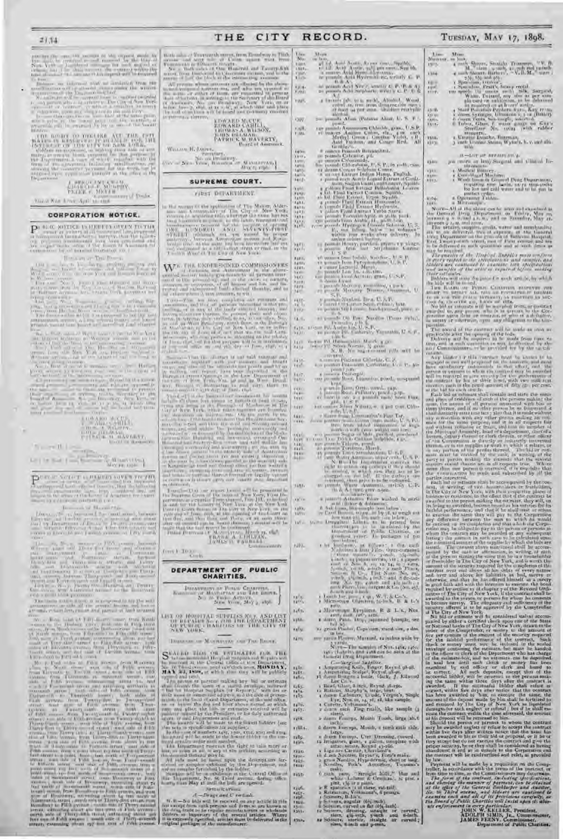$\frac{1}{N}=\frac{1}{N}\sum_{i=1}^{N}\frac{1}{n}\sum_{i=1}^{N}\frac{1}{n}\sum_{i=1}^{N}\frac{1}{n}\sum_{i=1}^{N}\frac{1}{n}\sum_{i=1}^{N}\frac{1}{n}\sum_{i=1}^{N}\frac{1}{n}\sum_{i=1}^{N}\frac{1}{n}\sum_{i=1}^{N}\frac{1}{n}\sum_{i=1}^{N}\frac{1}{n}\sum_{i=1}^{N}\frac{1}{n}\sum_{i=1}^{N}\frac{1}{n}\sum_{i=1}^{N}\frac{1}{n}\sum_{i=1}^{N}\frac{1}{n}\sum_{i=1}^{N}\frac{$ 

 $\begin{array}{c} \begin{array}{c} \text{array of each } \lambda \in \mathbb{R}^n \cup \{0,1\} \cup \{0,1\} \cup \{0,1\} \cup \{0,1\} \cup \{0,1\} \cup \{0,1\} \cup \{0,1\} \cup \{0,1\} \cup \{0,1\} \cup \{0,1\} \cup \{0,1\} \cup \{0,1\} \cup \{0,1\} \cup \{0,1\} \cup \{0,1\} \cup \{0,1\} \cup \{0,1\} \cup \{0,1\} \cup \{0,1\} \cup \{0,1\} \cup \{0,1$ 

## inter of Distan

## **CORPORATION NOTICE.**

 $\mathbf{P}^{(1,0,0,0)} \xrightarrow{\text{a.s.}} \xrightarrow{\text{a.s.}} \xrightarrow{\text{a.s.}} \xrightarrow{\text{a.s.}} \xrightarrow{\text{a.s.}} \xrightarrow{\text{a.s.}} \xrightarrow{\text{a.s.}} \xrightarrow{\text{a.s.}} \xrightarrow{\text{a.s.}} \xrightarrow{\text{a.s.}} \xrightarrow{\text{a.s.}} \xrightarrow{\text{a.s.}} \xrightarrow{\text{a.s.}} \xrightarrow{\text{a.s.}} \xrightarrow{\text{a.s.}} \xrightarrow{\text{a.s.}} \xrightarrow{\text{a.s.}} \xrightarrow{\text{a.s.}} \xrightarrow{\text{a.s.}} \xrightarrow{\text{a.s.}} \xrightarrow{\$ 

## The Cart or The Poems

 $\begin{array}{l} \frac{1}{2} \left( \begin{array}{cc} 1 & 0 & 0 & 0 & 0 & 0 & 0 \\ 0 & 0 & 0 & 0 & 0 & 0 \\ 0 & 0 & 0 & 0 & 0 & 0 \\ 0 & 0 & 0 & 0 & 0 & 0 \\ 0 & 0 & 0 & 0 & 0 & 0 \\ 0 & 0 & 0 & 0 & 0 & 0 \\ 0 & 0 & 0 & 0 & 0 & 0 \\ 0 & 0 & 0 & 0 & 0 & 0 \\ 0 & 0 & 0 & 0 & 0 & 0 \\ 0 & 0 & 0 & 0 & 0 & 0 \\ 0 & 0 & 0 & 0 &$ 

 $\begin{tabular}{|c|c|c|c|c|} \hline $103\text{ A}849$ & $1.1\%$ \\ \hline $102$ & $1.0\%$ & $1.0\%$ \\ \hline $105$ & $1.0\%$ & $1.0\%$ \\ \hline $11$ & $1.0\%$ & $1.0\%$ \\ \hline $12$ & $1.0\%$ & $1.0\%$ \\ \hline \end{tabular}$ 

 $\label{eq:1.1} \begin{picture}(100,10) \put(0,0){\line(1,0){10}} \put(10,0){\line(1,0){10}} \put(10,0){\line(1,0){10}} \put(10,0){\line(1,0){10}} \put(10,0){\line(1,0){10}} \put(10,0){\line(1,0){10}} \put(10,0){\line(1,0){10}} \put(10,0){\line(1,0){10}} \put(10,0){\line(1,0){10}} \put(10,0){\line(1,0){10}} \put(10,0){\line(1,0){10}} \put$ 

 $\mathbf{P}^{even} \xrightarrow{\texttt{CCT}} \mathbb{C} \xrightarrow{\texttt{CCT}} \mathbb{C} \xrightarrow{\texttt{CCT}} \mathbb{C} \xrightarrow{\texttt{CCT}} \mathbb{C} \xrightarrow{\texttt{CCT}} \mathbb{C} \xrightarrow{\texttt{CCT}} \mathbb{C} \xrightarrow{\texttt{CCT}} \mathbb{C} \xrightarrow{\texttt{CCT}} \mathbb{C} \xrightarrow{\texttt{CCT}} \mathbb{C} \xrightarrow{\texttt{CCT}} \mathbb{C} \xrightarrow{\texttt{CCT}} \mathbb{C} \xrightarrow{\texttt{CCT}} \mathbb{C} \xrightarrow{\texttt{CCT}} \mathbb{C} \xrightarrow$ 

Jim an of Home the

 $\frac{1}{2} \sum_{\substack{ \text{odd } \ell \text{ odd}}} \frac{1}{2} \sum_{\substack{ \text{odd } \ell \text{ odd}}} \frac{1}{2} \sum_{\substack{ \text{odd } \ell \text{ odd}}} \frac{1}{2} \sum_{\substack{ \text{odd } \ell \text{ odd}}} \frac{1}{2} \sum_{\substack{ \text{odd } \ell \text{ odd}}} \frac{1}{2} \sum_{\substack{ \text{odd } \ell \text{ odd}}} \frac{1}{2} \sum_{\substack{ \text{odd } \ell \text{ odd}}} \frac{1}{2} \sum_{\substack{ \text{odd } \ell \text{ odd}}} \frac{1}{2} \sum_{\sub$ 

tan<br>Nu mit,  $\overline{\mathcal{M}}_{\mathcal{O}}$ 

CITY

繻 YW5

4307

**CAR** 

 $\begin{array}{l} \mathcal{L}(\mathcal{C}) = \mathcal{L}(\mathcal{C}) = \mathcal{L}(\mathcal{C}) = \mathcal{L}(\mathcal{C}) = \mathcal{L}(\mathcal{C}) = \mathcal{L}(\mathcal{C}) = \mathcal{L}(\mathcal{C}) = \mathcal{L}(\mathcal{C}) = \mathcal{L}(\mathcal{C}) = \mathcal{L}(\mathcal{C}) = \mathcal{L}(\mathcal{C}) = \mathcal{L}(\mathcal{C}) = \mathcal{L}(\mathcal{C}) = \mathcal{L}(\mathcal{C}) = \mathcal{L}(\mathcal{C}) = \mathcal{L}(\mathcal{C}) = \mathcal{L$ 

端

Farit. TAYIN

鬻

端 摄

 $\begin{array}{l} \mathcal{E}_{\text{eff}}^{\text{G1}} \\ \mathcal{E}_{\text{eff}}^{\text{G2}} \end{array}$ **ARTS** 

 $1457$ 

Tall in

rabi-

**MAG** 

 $x + 6y$ 

**System MA** 

**NAM** 

1451.<br>1460.

1120  $14\%$ 

 $x_4 - 7$ r488.

xilitä.

2450-

F101-

THE

**EDWARD MCUE<br>EDWARD CAHLASS,<br>HUIS GRAMMAN SANTONICO**<br>PATRICK WARD RESERVE

 $\begin{array}{ll} & \mbox{Weence KJsierer,} \\ & \mbox{Perceity} \\ & \mbox{See Aessel's identity,} \\ & \mbox{See Aessel's property,} \\ & \mbox{and} \\ & \mbox{and} \\ \mbox{Weveeyn} \end{array}$ 

SUPREME COURT.

### TIRST DEPARTMENT

from 1 To game.

## DEPARTMENT OF PUBLIC<br>CHARITIES.

 $\begin{array}{ll} {\bf Tr} \, {\bf x} \, {\bf x} \, {\bf y} \, {\bf y} \, {\bf y} \, {\bf y} \, {\bf y} \, {\bf y} \, {\bf y} \, {\bf y} \, {\bf y} \, {\bf y} \, {\bf y} \, {\bf y} \, {\bf y} \, {\bf y} \, {\bf y} \, {\bf y} \, {\bf y} \, {\bf y} \, {\bf y} \, {\bf y} \, {\bf y} \, {\bf y} \, {\bf y} \, {\bf y} \, {\bf y} \, {\bf y} \, {\bf y} \, {\bf y} \, {\bf y} \, {\bf y} \, {\bf y} \, {\bf y} \, {\bf y$ 

LIST OF HOSPITAL SUPERISM, AND LIST OF HUMAN SERVICE STATES OF THE CITY OF NEW YORK,

**Bullet** 

## Distances on Magnesian con The Boons,

 $\begin{array}{l} \textbf{S}^{(M+1,0)} \hspace{0.2cm} \textbf{R}^{(M+1,0)} \hspace{0.2cm} \textbf{R}^{(M+1,0)} \hspace{0.2cm} \textbf{R}^{(M+1,0)} \hspace{0.2cm} \textbf{R}^{(M+1,0)} \hspace{0.2cm} \textbf{R}^{(M+1,0)} \hspace{0.2cm} \textbf{R}^{(M+1,0)} \hspace{0.2cm} \textbf{R}^{(M+1,0)} \hspace{0.2cm} \textbf{R}^{(M+1,0)} \hspace{0.2cm} \textbf{R}$ 

 $L_1 L_2$ 

 $\frac{1}{2}$  and  $\frac{1}{2}$  and  $\frac{1}{2}$  and  $\frac{1}{2}$  and  $\frac{1}{2}$  and  $\frac{1}{2}$  and  $\frac{1}{2}$  and  $\frac{1}{2}$  and  $\frac{1}{2}$  and  $\frac{1}{2}$  and  $\frac{1}{2}$  and  $\frac{1}{2}$  and  $\frac{1}{2}$  and  $\frac{1}{2}$  and  $\frac{1}{2}$  and  $\frac{1}{2}$  a

rally. **Ciuc** 

The insulation of the mass to the forcest bufoles (see that is a specifically as a specifically in the mass of a specifically see the specifical specifical specifical specifical specifical specifical specifical specifical

**V403-**

### **SPELLICAN** A-Drugs and U swinds.

 $\begin{array}{l} \kappa_1(\varphi),\\ \kappa_2(\varphi),\\ \kappa_3(\varphi),\\ \kappa_4(\varphi),\\ \kappa_5(\varphi),\\ \kappa_6(\varphi),\\ \kappa_7(\varphi),\\ \end{array}$  $H\cdot\mathbb{R} \to \mathbb{R}$  is this well be received on any activity in this finite couple from each persons and domestic are known in the domestic property of the several anticles. Where it is expressive to have the several anti that.

 $\begin{tabular}{l|c|c|c|c|c|c|c} \hline $0$ & $0.000$ & $0.000$ & $0.000$ & $0.000$ & $0.000$ & $0.000$ & $0.000$ & $0.000$ & $0.000$ & $0.000$ & $0.000$ & $0.000$ & $0.000$ & $0.000$ & $0.000$ & $0.000$ & $0.000$ & $0.000$ & $0.000$ & $0.000$ & $0.000$ & $0.000$ & $0.000$ & $0.000$$ 

TUESDAY, MAY 17, 1898.

Мининг. usity.

1386

aniin<br>Agust<br>Aniite

281K)<br>18130

**Children GRAY** 

3.59.97

 $1.24$ 

 $\begin{array}{ll} \textbf{Mom} & \textbf{Mom} \\ \textbf{a} & \text{loss} \\ \textbf{a} & \text{loss} \\ \textbf{b} & \text{loss} \\ \textbf{c} & \text{loss} \\ \textbf{d} & \text{loss} \\ \textbf{e} & \text{loss} \\ \textbf{f} & \text{Slope}, \\ \textbf{b} & \text{Slope}, \\ \textbf{c} & \text{Slope}, \\ \textbf{d} & \text{Slope}, \\ \textbf{e} & \text{Slope}, \\ \textbf{f} & \text{Slope}, \\ \textbf{f} & \text{Slope}, \\ \textbf{f} & \text{Slope}, \\ \textbf{f} &$ 

1.94). <br>
Normal Hermann I this case of the manner of the formula the chance can be seen that we can be<br>the chance of the manner of the chance of the chance of the chance of<br>the chance of the chance of the chance of the ch

 $\overline{p}$  from a<br>wavel of the traitmet will be made as soon as  $\overline{p}$  <br>provided in the space of the fraction of the mass of the space of the<br> $p$  and  $p$  . The<br>free  $p$  and be respected in the mass frame from<br> $p$  the dist

the moment will be matterially as a provision on the County of the County of the County of the County of the County of the County of the County of the county of the county of the county of the county of the county of the c

RECORD.

- 
- $\begin{array}{l} \mbox{1--} \\ \mbox{2--} \\ \mbox{2--} \\ \mbox{3--} \\ \mbox{4--} \\ \mbox{5--} \\ \mbox{5--} \\ \mbox{5--} \\ \mbox{5--} \\ \mbox{5--} \\ \mbox{5--} \\ \mbox{5--} \\ \mbox{5--} \\ \mbox{5--} \\ \mbox{5--} \\ \mbox{5--} \\ \mbox{5--} \\ \mbox{5--} \\ \mbox{5--} \\ \mbox{5--} \\ \mbox{5--} \\ \mbox{5--} \\ \mbox{5--} \\ \mbox{5--} \\ \mbox{5--} \\ \mbox{5--} \\ \mbox{5$

- and the same of the same of the same of the same of the same of the same of the same of the same of the same of the same of the same of the same of the same of the same of the same of the same of the same of the same of t
- 
- 

 $\frac{100}{100}$ 

 $(1, 0,$ 

 $\mathbb{S}^{111}_{1221}$ 

1437

 $\frac{1000}{1000}$ 

Control in the same state in the same state in the same state in the same state in the same state in the same state in the same state in the same state in the same state in the same state in the same state in the same sta

From Principal Matrix and Apple and Matrix and Line and Line and Line and Line and Line and Line and Line and Line and Line and Line and Line and Line and Line and Line and Line and Line and Line and Line and Line and Lin

a Maria ape Eyroloma, B. & L. e., Nea $\mathbf{r}$  and  $\mathbf{r}$  and  $\mathbf{r}$  and  $\mathbf{r}$  and  $\mathbf{r}$  and  $\mathbf{r}$  and  $\mathbf{r}$  and  $\mathbf{r}$  and  $\mathbf{r}$  and  $\mathbf{r}$  and  $\mathbf{r}$  and  $\mathbf{r}$ 

one yarna Plasser, Marraell, za boleva wide by

 $\begin{tabular}{l|c|c|c|c} \hline $score$ & Planck & Manmark, $a$ includes $a$ is the type of $X$ and $x$ is the 1, $X$ and $x$ is the 1, $X$ and $x$ is the 1, $X$ and $x$ is the 1, $X$ and $x$ is the 1, $X$ and $x$ is the 1, $X$ and $x$ is the 1, $X$ and $x$ is the 1, $X$ and $x$ is the 1, $X$ and $x$ is the 1, $X$ and $x$ is the 1, $X$ and $x$ is the 1, $X$ and $x$ is the 1, $X$ and $x$ is the 1, $X$ and $x$ is the 1,$ 

 $\alpha$  Carette, Yoltaman's,  $\label{eq:2}$  y don't stirt. For<br>grandle, the sample (1 $\alpha$  don't slow). That<br>is the state of the state of the state of the state of the state of<br>the state of the state of the state of the state of t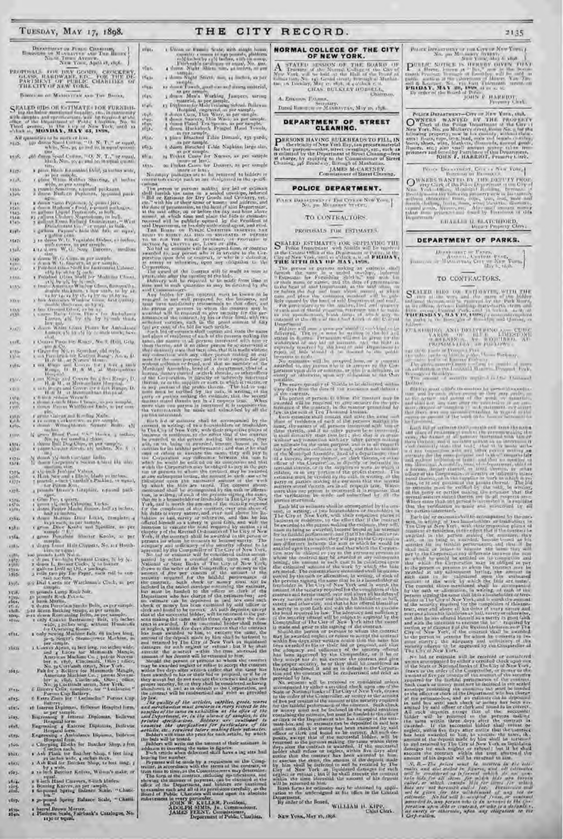## TUESDAY, MAY 17, 1898.

| Based of Monaccion And The Henry<br>Sheet The Avenue,                                                            |
|------------------------------------------------------------------------------------------------------------------|
| NEW YORK, April 19, 1868.                                                                                        |
| PROPISALS FOR DRY GOODS, CROCKERY, GLASS, RASDWARE, FD., POR THE DEPTH OF THE CHARITIES OF THE CITY OF NEW VORK, |
| Bosonone of Manuscripts and Ture Beroes,                                                                         |
|                                                                                                                  |

 $\begin{tabular}{l|c|c|c|c|c|c|c|c|c} \hline $S$ $\mathbb{R}\text{ALED 01Ds OH 6-}T$MaxF$&1-DOR VURX1111-}\\ $ing the below numerical functions, the solution of the three of the Meynization, while for the Meynization of the Meynization, by, in Table 4.8, and in Table 4.8, we have $X_0, 0.01$&1.001$&1.001$&1.001$&1.001$&1.001$&1.001$&1.001$&1.001$&1.001$&1.001$&1.001$&1.001$&1$ 

All quantities to be mattered in a  $\{S_1, T_1\}$  or equal,  $\{S_2, \ldots, S_N\}$  are density Spani Uniting, "Lit,  $S_1, T_1$ " or equal,  $\{S_2, \ldots, S_N\}$  as and an in a particular point of the spanish of the spanish of the spani  $16/31$ 

 $15.05.$ 

press Mack responsive Dritt, 52 to loss wide,  $8.637 +$ r par maybe.<br>
Cylons White Rubber Sharong, 50 inches a leader as par sample, a particular particular and states. xiah

 $1533$ 

Fish<br>Frein

 $\frac{1343}{1348}$ 

1.149

a tay.

 $15H$ 

雛

**Lives**  $\frac{1574}{1078}$ 

 $\frac{1376}{1378}$ 

 $\frac{1574}{1576}$ 

rika. xylin 1554

**COLO-**灞 1595

339%  $35 - 6$ 

 $\frac{100}{100}$ 

afit.

abiar

 $1513.$ 

 $2014.4$ 

1015.

stitt.

ziny. röst.  $2.0194$ 150a **Sbiti** 

 $1001$ 

 $x6x3.$ 

36/44  $rac{1}{1000}$ 

 $107<sub>K</sub>$ 35.85%

 $\begin{tabular}{l|c|c|c|c|c} \hline $4$ & linear Rutherford, 1960, 000, 1980, 0000, 1980, 0000, 1980, 1980, 0000, 1980, 1980, 0000, 1980, 1980, 1980, 1980, 1980, 1980, 1980, 1980, 1980, 1980, 1980, 1980, 1980, 1980, 1980, 1980, 1980, 1980, 1980, 1980,$ xyah.

 $15474$  $13487$ 

**HAG** 

1155-

 $\begin{tabular}{l|c|c|c|c|c|c} \hline \textbf{L}(t,t) & \textbf{M}(t,t) & \textbf{S}(\textbf{u}(t)) & \textbf{L}(t,t) & \textbf{L}(t,t) & \textbf{L}(t,t) & \textbf{L}(t,t) & \textbf{L}(t,t) & \textbf{L}(t,t) & \textbf{L}(t,t) & \textbf{L}(t,t) & \textbf{L}(t,t) & \textbf{L}(t,t) & \textbf{L}(t,t) & \textbf{L}(t,t) & \textbf{L}(t,t) & \textbf{L}(t,t) & \textbf{L}(t,t) & \textbf{L}(t,t) & \text$  $30000$ 

2001<br>2002

 $7187$ 

r Cours Paul Pe Rous, No. 8, Rol, Gila. LUE.

W

r Granden No. 13 Searchart phil wyles<br>
1 Granden No. 13 Search Manner, American Manner, American Manner, American Manner<br>
1 Granden Manner, B. 1993, American Manner, B. 1993, American Manner<br>
Homes, B. 1993, A. M. 24 Mai-**Avita** 

 $(0)$  $\frac{10^{10}}{10^{10}}$ 

r denta Winner<br>Maria 1942 Hook a poetics,  $\{t\}$  are<br> $\{0, \infty\}$  from Poor Carolina, and the complex and the<br> $\{0, \infty\}$  are simply a poetic of the complex of the complex<br> $\{0, \infty\}$  of the complex of the complex of the

 $rac{13734}{4377}$ 

 $\Gamma$  range (2-pa) or Rivert,  $1/\gamma$  and<br>the  $N\pi$ ,  $\gamma$  is a sum and  $\gamma\zeta$  <br>indice a state indice, and the state of the state of the state of the<br>property  $\gamma$  state that the also a state of the state<br>of the state of the

cell.

 $\begin{tabular}{l|c|c|c|c|c} \hline $G^{\text{R}}(B^{\text{R}})$ & $g_{\text{R}}(B^{\text{R}})$ & $g_{\text{R}}(B^{\text{R}})$ & $g_{\text{R}}(B^{\text{R}})$ & $g_{\text{R}}(B^{\text{R}})$ & $g_{\text{R}}(B^{\text{R}})$ & $g_{\text{R}}(B^{\text{R}})$ & $g_{\text{R}}(B^{\text{R}})$ & $g_{\text{R}}(B^{\text{R}})$ & $g_{\text{R}}(B^{\text{R}})$ & $g_{\text{R}}(B^{\text{R}})$ & $$ 

From Bottom Baltic Cippers, Sec. as the<br>  $\frac{1}{2}$  degra board Hale Cippers, Sec. as Houdand<br>
so points in this control board<br>
so points in the seconds the second board<br>
so points in the second board<br>
so points in the sec

agas.<br>2601,

15.4)<br>15.0.

582 Dial Cartis for Watchman's Cluck, as per samples are promoted through the procedure of the procedure of the same strength and the same between the same include the same strength and the same between the same strength

Parons Eup Battery.<br>6 Latra Zinta for " Liedmchu" Parons Cap

ri Interne Diplomas, thelievas Heapital torn.

ri Interne Diplomas, Indiewar Hospital form,<br>
Esperantista Biplomas, Bellevuz<br>
Engrantista Biplomas, Bellevuz<br>
Engrantista Biplomas, Bellevuz<br>
Engrantista Hospital form,<br>
Engrantista Amiddanes Diploma, Bellevuz<br>
Hospital

a reinch Butcher Knives, Wilson's make, or

z 8-inch Hand Cleavers, 8-inch Mades.

sailog Knives, as per ample.<br>- pound Spring Balance Scale, "Chatil-<br>- len "

and Spring Balance Scale, " Chatil-

 $\begin{array}{ll} \textbf{a} & \text{no-bound} & \text{Sgrany} \\ \textbf{a} & \text{box} \end{array} \begin{array}{ll} \textbf{a} & \text{norm} \\ \textbf{a} & \text{box} \end{array} \begin{array}{ll} \textbf{a} & \text{norm} \\ \textbf{a} & \text{label} \end{array} \begin{array}{ll} \textbf{a} & \text{box} \\ \textbf{a} & \text{label} \end{array} \begin{array}{ll} \textbf{a} & \text{box} \\ \textbf{a} & \text{label} \end{array} \begin{array}{ll} \textbf{a} & \text{box} \\ \textbf{a$ 

THE CITY RECORD.

The samply particular at the latter of the<br>distribution is the complex particular at the second such as a retrievant<br>of the specifical continues in the second such as a retrievant in the specifical<br>specifical distribution

Framino states that the state is the fit is expression. What is the main that the state is a main that the state is a main to the state is a main to the state is a main to the state is a main to the state is a main to the incutres sixted violecties are no all requests into the sixted violecties of the violecties are control in the sixted violence of the sixted violence of the sixted violence of the sixted violence of the sixted violence of

by law.

by Livet, and the articles, angelies, goods, waves<br>by Livet and members and mechanism must constrain an energy restect to the<br>non-zeno must be same consider as the sphere of the samples of the same consideration at<br> $\hat{p}$ .<br>Ke guslity of the articles, supplies, goods, wares<br>I merchandse must toutorin in every respect to the

## NORMAL COLLEGE OF THE CITY<br>OF NEW YORK.

 $2135$ 

 $\begin{array}{ll} \text{Puler} \text{ Invariance map} & \text{if } \text{min} \text{ Gyr or } \text{MwY} \text{ from } \text{Gyr} \\ \text{No. } \text{pos} \text{ M1} \text{ (max)} & \text{for} \text{min} \\ \text{D} \text{min} \text{ X} \text{ mod, } \text{M1} \text{ (in) and } \end{array}$ 

 $\label{eq:2} \begin{array}{ll} &\text{SUSY, mag, Algeb, and}\\ \text{P.} & \text{a, there, hence at $S$-P2C$ is the local number of vertices in $100$ and $100$ and $100$ and $100$ and $100$ and $100$ and $100$ and $100$ and $100$ and $100$ and $100$ and $100$ and $100$ and $100$ and $100$ and $100$ and $100$ and $100$ and $100$ and $100$ and $100$ and $100$ and $100$ and $100$ and $100$ and $100$ and $10$ 

Potent Detactive<br>art - Cove or New York, etc.) (NWLERS - WANTED - IV - THE - PROPERTY Clerk of the Passe Detaction<br>at 2. the Gave York, New York, etc.) (New York, New York, New York, New York, New York, New York, New York

Proce Discovering Council New Yorks

**EHALLE D. BLATCHEORD,**<br>Vetary Projecty Clerk:

DEPARTMENT OF PARKS.

 $\begin{array}{c} \text{Dissimers} = \text{Passes} \\ \text{Ventent Post} \\ \text{Ventent Post} \\ \text{Ventent Pstent Pstet} \\ \text{Vet} \\ \text{Vet} \\ \text{Vet} \\ \text{Vet} \\ \text{Vet} \\ \text{Vet} \\ \text{Vet} \\ \text{Vet} \\ \text{Vet} \\ \text{Vet} \\ \text{Vet} \\ \text{Vet} \\ \text{Vet} \\ \text{Vet} \\ \text{Vet} \\ \text{Vet} \\ \text{Vet} \\ \text{Vet} \\ \text{Vet} \\ \text{Vet} \\ \text{Vet} \\ \text{Vet} \\ \text{Vet} \\ \$ 

TO CONTRACTORS.

 $\begin{array}{l} \mathbf{S}^{\mathrm{KATLIL}} & \text{H1D2} & \text{COF} & \text{FATJ} \text{A} \text{AFTT} \text{W}, \text{WITR}, \text{THF}, \text{THF} \\ \text{and} & \text{the case of the 3-3 and the 3-3 of the 3-3 of the 3-3 of the 3-3 of the 3-3 of the 3-3 of the 3-3 of the 3-3 of the 3-3 of the 3-3 of the 3-3 of the 3-3 of the 3-3 of the 3-3 of the 3-3 of the 3-3 of the 3-3 of the 3-3 of the 3-3 of the 3-3$ 

ETA STRUCK AND DELIVERED AND COMPANY

Which the barriers are all the content of the content of the second interaction of the content of the content of the content of the content of the content of the content of the content of the content of the content of the

For the continue in the Applemental by the Compared<br>in The Control of the Compared Transfer and New York. We have the control of the<br>other and the control of the State of National by other control of the<br>State of National

amount of his depends with he constant on any  $K$ ,  $B = 27\pi$ , which and the second of the matrix and the second of the second of the second point is an interesting of the second point of the second point is a second of th

Doll on

**CITAS. BULKLEY HOBBELL, CHAYWAY,** 

A. Externe Primar

Dated Insecurity Mannayran, May as 1556.

## DEPARTMENT OF STREET<br>CLEANING.

**PURSONS HAVING BULKBEADSTO FILL, IN**<br>the virinity of New York Hay, and producematerial<br>for that purpose-maker, are the purpose that the collision of the Dispartment of Struct Channel, the<br>of a change, by applying to the C

JAMES MCCARTNEY, Communication of Street Cleaning,

### POLICE DEPARTMENT.

 $\left.\frac{\text{Power Energy}(\text{Perf})}{\text{New}(\text{Perf})} \right|_{\mathcal{M}^{\text{op}}} = \left.\frac{\text{Type}(\text{Perf})}{\text{New}(\text{Perf})} \right|_{\mathcal{M}^{\text{op}}} = \left.\frac{\text{New}(\text{Newf})}{\text{New}(\text{Perf})} \right|_{\mathcal{M}^{\text{op}}}$ 

## TO CONTRACTORS.

PROPOSALS FOR ESTIMATES,

 $S^{EATED}$  ESTIMATES FOR SUPPLYING THE police Longardian with Similar will be married that the Contract Hills, in the Contract Hills, and the contract Hills, and The contract Hills,  $V_{\rm eff}$ The of New York, and to a department of Patter, in the THE STTH HAY DE MAY, 1898.

The general HAX OF MAY, 1889.<br>
The prices of the formula function of the formula first state for Formula and<br>the state of the state of the state of the state of the state of the<br>state of the state of the state of the stat

one-mode of the cluster of the Carolina Conduction of the Conduction of the cluster of the conduction of the property of the state of the state of the state of the state of the state of the state of the state of the state

Let us the control of the control of the control of the control of the control of the control of the control of the control of the control of the control of the control of the control of the control of the control of the

epartment.<br>By ander of the Board, WILLIAM H. KIPP, erk.

**NEW YORK, Мат 10, 1898.**